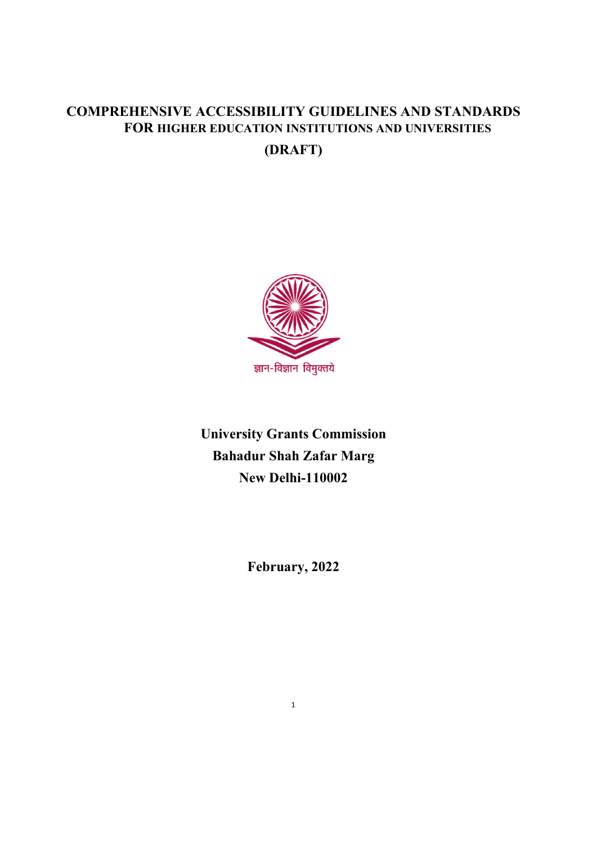# **COMPREHENSIVE ACCESSIBILITY GUIDELINES AND STANDARDS FOR HIGHER EDUCATION INSTITUTIONS AND UNIVERSITIES**

**(DRAFT)**



**University Grants Commission Bahadur Shah Zafar Marg New Delhi-110002**

**February, 2022**

1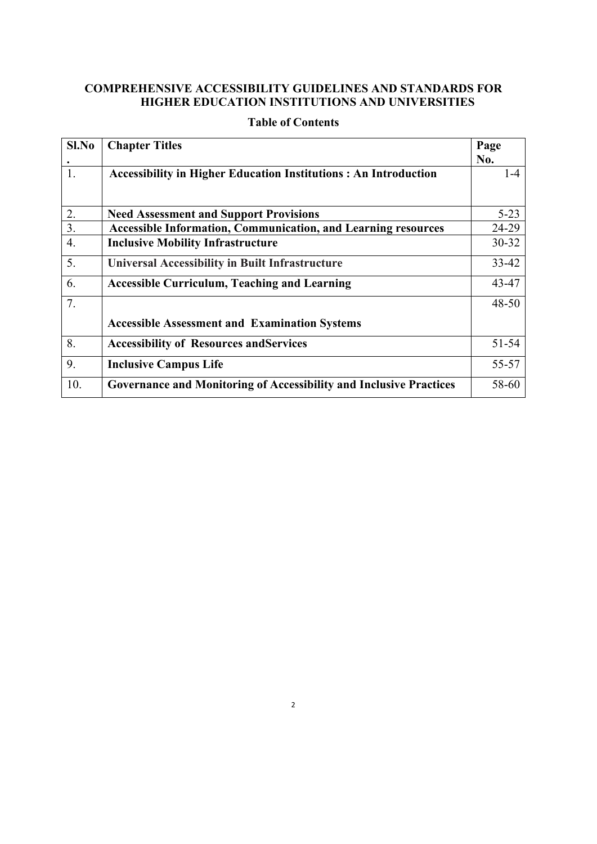### **COMPREHENSIVE ACCESSIBILITY GUIDELINES AND STANDARDS FOR HIGHER EDUCATION INSTITUTIONS AND UNIVERSITIES**

| Sl.No            | <b>Chapter Titles</b>                                                     | Page      |
|------------------|---------------------------------------------------------------------------|-----------|
|                  |                                                                           | No.       |
| 1.               | <b>Accessibility in Higher Education Institutions: An Introduction</b>    | $1 - 4$   |
| 2.               | <b>Need Assessment and Support Provisions</b>                             | $5 - 23$  |
| 3.               | <b>Accessible Information, Communication, and Learning resources</b>      | 24-29     |
| $\overline{4}$ . | <b>Inclusive Mobility Infrastructure</b>                                  | 30-32     |
| 5.               | <b>Universal Accessibility in Built Infrastructure</b>                    | $33 - 42$ |
| 6.               | <b>Accessible Curriculum, Teaching and Learning</b>                       | 43-47     |
| 7.               |                                                                           | $48 - 50$ |
|                  | <b>Accessible Assessment and Examination Systems</b>                      |           |
| 8.               | <b>Accessibility of Resources and Services</b>                            | 51-54     |
| 9.               | <b>Inclusive Campus Life</b>                                              | 55-57     |
| 10.              | <b>Governance and Monitoring of Accessibility and Inclusive Practices</b> | 58-60     |

## **Table of Contents**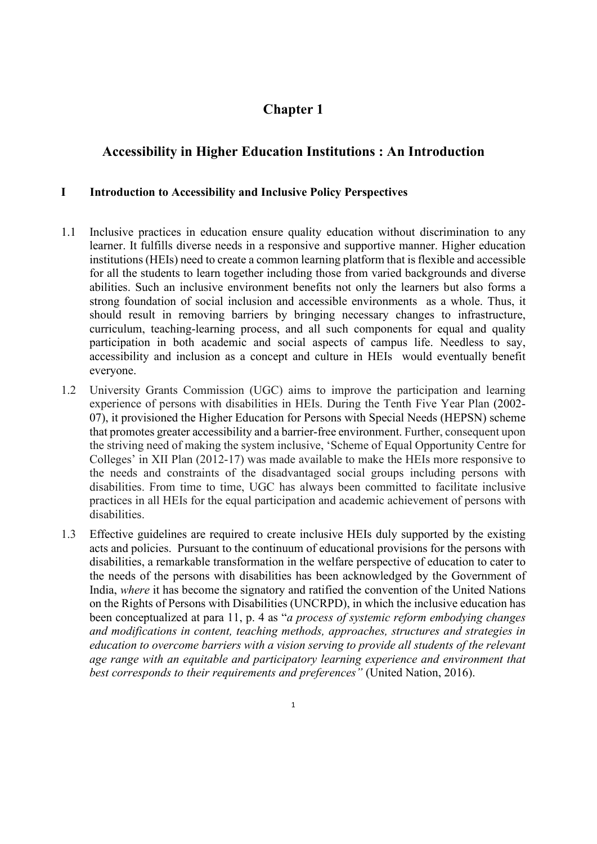# **Chapter 1**

# **Accessibility in Higher Education Institutions : An Introduction**

### **I Introduction to Accessibility and Inclusive Policy Perspectives**

- 1.1 Inclusive practices in education ensure quality education without discrimination to any learner. It fulfills diverse needs in a responsive and supportive manner. Higher education institutions (HEIs) need to create a common learning platform that is flexible and accessible for all the students to learn together including those from varied backgrounds and diverse abilities. Such an inclusive environment benefits not only the learners but also forms a strong foundation of social inclusion and accessible environments as a whole. Thus, it should result in removing barriers by bringing necessary changes to infrastructure, curriculum, teaching-learning process, and all such components for equal and quality participation in both academic and social aspects of campus life. Needless to say, accessibility and inclusion as a concept and culture in HEIs would eventually benefit everyone.
- 1.2 University Grants Commission (UGC) aims to improve the participation and learning experience of persons with disabilities in HEIs. During the Tenth Five Year Plan (2002- 07), it provisioned the Higher Education for Persons with Special Needs (HEPSN) scheme that promotes greater accessibility and a barrier-free environment. Further, consequent upon the striving need of making the system inclusive, 'Scheme of Equal Opportunity Centre for Colleges' in XII Plan (2012-17) was made available to make the HEIs more responsive to the needs and constraints of the disadvantaged social groups including persons with disabilities. From time to time, UGC has always been committed to facilitate inclusive practices in all HEIs for the equal participation and academic achievement of persons with disabilities.
- 1.3 Effective guidelines are required to create inclusive HEIs duly supported by the existing acts and policies. Pursuant to the continuum of educational provisions for the persons with disabilities, a remarkable transformation in the welfare perspective of education to cater to the needs of the persons with disabilities has been acknowledged by the Government of India, *where* it has become the signatory and ratified the convention of the United Nations on the Rights of Persons with Disabilities (UNCRPD), in which the inclusive education has been conceptualized at para 11, p. 4 as "*a process of systemic reform embodying changes and modifications in content, teaching methods, approaches, structures and strategies in education to overcome barriers with a vision serving to provide all students of the relevant age range with an equitable and participatory learning experience and environment that best corresponds to their requirements and preferences"* (United Nation, 2016).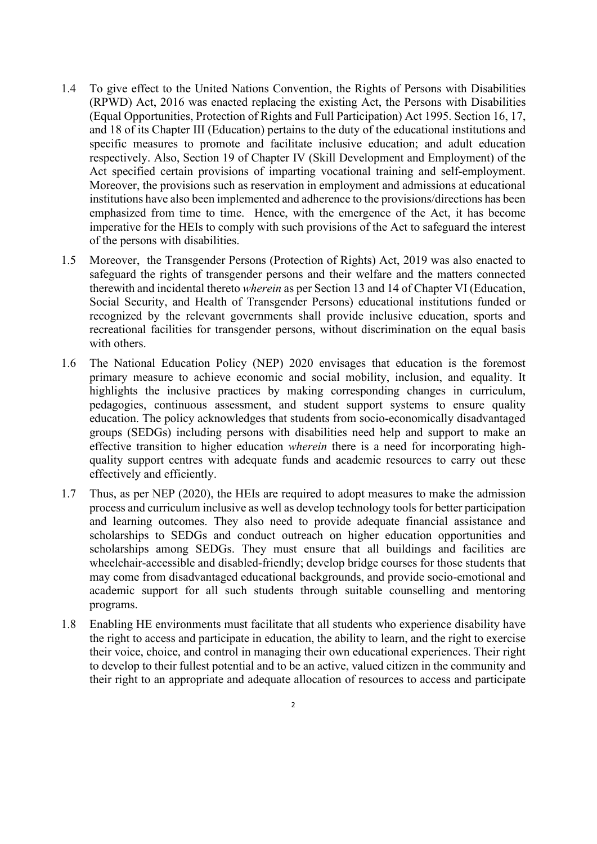- 1.4 To give effect to the United Nations Convention, the Rights of Persons with Disabilities (RPWD) Act, 2016 was enacted replacing the existing Act, the Persons with Disabilities (Equal Opportunities, Protection of Rights and Full Participation) Act 1995. Section 16, 17, and 18 of its Chapter III (Education) pertains to the duty of the educational institutions and specific measures to promote and facilitate inclusive education; and adult education respectively. Also, Section 19 of Chapter IV (Skill Development and Employment) of the Act specified certain provisions of imparting vocational training and self-employment. Moreover, the provisions such as reservation in employment and admissions at educational institutions have also been implemented and adherence to the provisions/directions has been emphasized from time to time. Hence, with the emergence of the Act, it has become imperative for the HEIs to comply with such provisions of the Act to safeguard the interest of the persons with disabilities.
- 1.5 Moreover, the Transgender Persons (Protection of Rights) Act, 2019 was also enacted to safeguard the rights of transgender persons and their welfare and the matters connected therewith and incidental thereto *wherein* as per Section 13 and 14 of Chapter VI (Education, Social Security, and Health of Transgender Persons) educational institutions funded or recognized by the relevant governments shall provide inclusive education, sports and recreational facilities for transgender persons, without discrimination on the equal basis with others.
- 1.6 The National Education Policy (NEP) 2020 envisages that education is the foremost primary measure to achieve economic and social mobility, inclusion, and equality. It highlights the inclusive practices by making corresponding changes in curriculum, pedagogies, continuous assessment, and student support systems to ensure quality education. The policy acknowledges that students from socio-economically disadvantaged groups (SEDGs) including persons with disabilities need help and support to make an effective transition to higher education *wherein* there is a need for incorporating highquality support centres with adequate funds and academic resources to carry out these effectively and efficiently.
- 1.7 Thus, as per NEP (2020), the HEIs are required to adopt measures to make the admission process and curriculum inclusive as well as develop technology tools for better participation and learning outcomes. They also need to provide adequate financial assistance and scholarships to SEDGs and conduct outreach on higher education opportunities and scholarships among SEDGs. They must ensure that all buildings and facilities are wheelchair-accessible and disabled-friendly; develop bridge courses for those students that may come from disadvantaged educational backgrounds, and provide socio-emotional and academic support for all such students through suitable counselling and mentoring programs.
- 1.8 Enabling HE environments must facilitate that all students who experience disability have the right to access and participate in education, the ability to learn, and the right to exercise their voice, choice, and control in managing their own educational experiences. Their right to develop to their fullest potential and to be an active, valued citizen in the community and their right to an appropriate and adequate allocation of resources to access and participate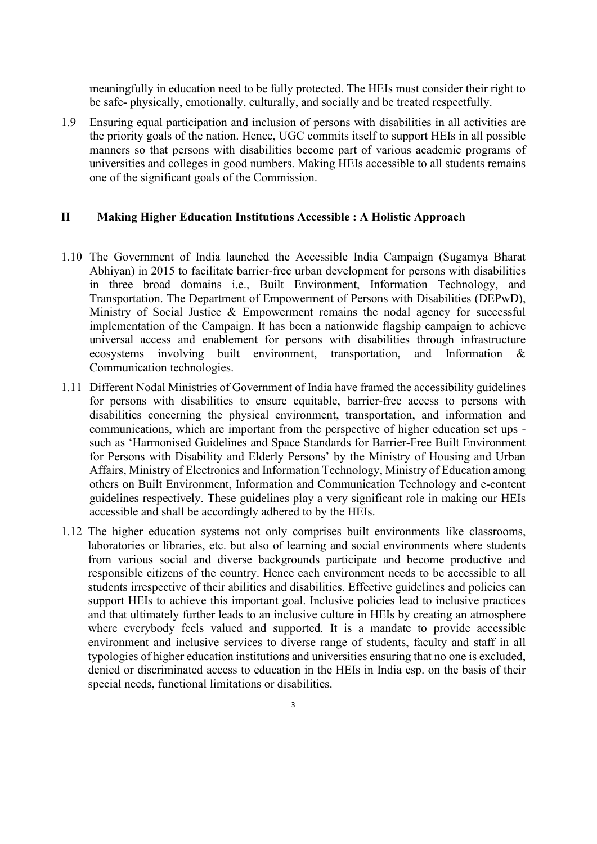meaningfully in education need to be fully protected. The HEIs must consider their right to be safe- physically, emotionally, culturally, and socially and be treated respectfully.

1.9 Ensuring equal participation and inclusion of persons with disabilities in all activities are the priority goals of the nation. Hence, UGC commits itself to support HEIs in all possible manners so that persons with disabilities become part of various academic programs of universities and colleges in good numbers. Making HEIs accessible to all students remains one of the significant goals of the Commission.

#### **II Making Higher Education Institutions Accessible : A Holistic Approach**

- 1.10 The Government of India launched the Accessible India Campaign (Sugamya Bharat Abhiyan) in 2015 to facilitate barrier-free urban development for persons with disabilities in three broad domains i.e., Built Environment, Information Technology, and Transportation. The Department of Empowerment of Persons with Disabilities (DEPwD), Ministry of Social Justice & Empowerment remains the nodal agency for successful implementation of the Campaign. It has been a nationwide flagship campaign to achieve universal access and enablement for persons with disabilities through infrastructure ecosystems involving built environment, transportation, and Information & Communication technologies.
- 1.11 Different Nodal Ministries of Government of India have framed the accessibility guidelines for persons with disabilities to ensure equitable, barrier-free access to persons with disabilities concerning the physical environment, transportation, and information and communications, which are important from the perspective of higher education set ups such as 'Harmonised Guidelines and Space Standards for Barrier-Free Built Environment for Persons with Disability and Elderly Persons' by the Ministry of Housing and Urban Affairs, Ministry of Electronics and Information Technology, Ministry of Education among others on Built Environment, Information and Communication Technology and e-content guidelines respectively. These guidelines play a very significant role in making our HEIs accessible and shall be accordingly adhered to by the HEIs.
- 1.12 The higher education systems not only comprises built environments like classrooms, laboratories or libraries, etc. but also of learning and social environments where students from various social and diverse backgrounds participate and become productive and responsible citizens of the country. Hence each environment needs to be accessible to all students irrespective of their abilities and disabilities. Effective guidelines and policies can support HEIs to achieve this important goal. Inclusive policies lead to inclusive practices and that ultimately further leads to an inclusive culture in HEIs by creating an atmosphere where everybody feels valued and supported. It is a mandate to provide accessible environment and inclusive services to diverse range of students, faculty and staff in all typologies of higher education institutions and universities ensuring that no one is excluded, denied or discriminated access to education in the HEIs in India esp. on the basis of their special needs, functional limitations or disabilities.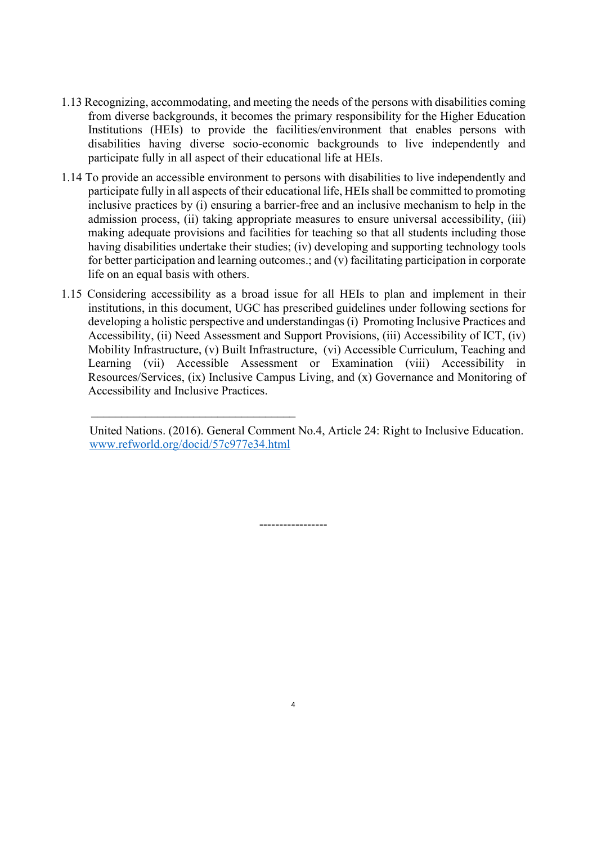- 1.13 Recognizing, accommodating, and meeting the needs of the persons with disabilities coming from diverse backgrounds, it becomes the primary responsibility for the Higher Education Institutions (HEIs) to provide the facilities/environment that enables persons with disabilities having diverse socio-economic backgrounds to live independently and participate fully in all aspect of their educational life at HEIs.
- 1.14 To provide an accessible environment to persons with disabilities to live independently and participate fully in all aspects of their educational life, HEIs shall be committed to promoting inclusive practices by (i) ensuring a barrier-free and an inclusive mechanism to help in the admission process, (ii) taking appropriate measures to ensure universal accessibility, (iii) making adequate provisions and facilities for teaching so that all students including those having disabilities undertake their studies; (iv) developing and supporting technology tools for better participation and learning outcomes.; and (v) facilitating participation in corporate life on an equal basis with others.
- 1.15 Considering accessibility as a broad issue for all HEIs to plan and implement in their institutions, in this document, UGC has prescribed guidelines under following sections for developing a holistic perspective and understandingas (i) Promoting Inclusive Practices and Accessibility, (ii) Need Assessment and Support Provisions, (iii) Accessibility of ICT, (iv) Mobility Infrastructure, (v) Built Infrastructure, (vi) Accessible Curriculum, Teaching and Learning (vii) Accessible Assessment or Examination (viii) Accessibility in Resources/Services, (ix) Inclusive Campus Living, and (x) Governance and Monitoring of Accessibility and Inclusive Practices.

 $\mathcal{L}_\text{max}$  , and the contract of the contract of the contract of the contract of the contract of the contract of the contract of the contract of the contract of the contract of the contract of the contract of the contr

-----------------

United Nations. (2016). General Comment No.4, Article 24: Right to Inclusive Education. [www.refworld.org/docid/57c977e34.html](http://www.refworld.org/docid/57c977e34.html)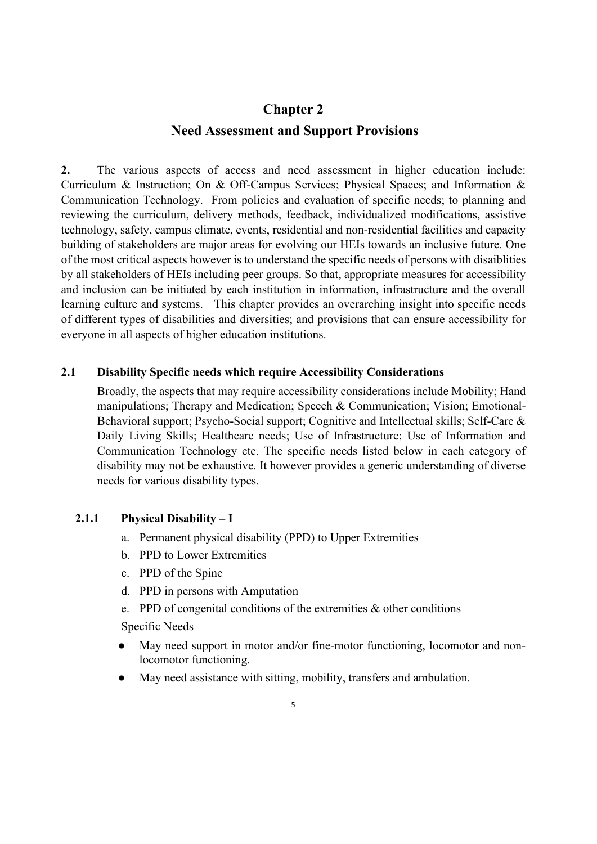# **Chapter 2 Need Assessment and Support Provisions**

**2.** The various aspects of access and need assessment in higher education include: Curriculum & Instruction; On & Off-Campus Services; Physical Spaces; and Information & Communication Technology. From policies and evaluation of specific needs; to planning and reviewing the curriculum, delivery methods, feedback, individualized modifications, assistive technology, safety, campus climate, events, residential and non-residential facilities and capacity building of stakeholders are major areas for evolving our HEIs towards an inclusive future. One of the most critical aspects however is to understand the specific needs of persons with disaiblities by all stakeholders of HEIs including peer groups. So that, appropriate measures for accessibility and inclusion can be initiated by each institution in information, infrastructure and the overall learning culture and systems. This chapter provides an overarching insight into specific needs of different types of disabilities and diversities; and provisions that can ensure accessibility for everyone in all aspects of higher education institutions.

### **2.1 Disability Specific needs which require Accessibility Considerations**

Broadly, the aspects that may require accessibility considerations include Mobility; Hand manipulations; Therapy and Medication; Speech & Communication; Vision; Emotional-Behavioral support; Psycho-Social support; Cognitive and Intellectual skills; Self-Care & Daily Living Skills; Healthcare needs; Use of Infrastructure; Use of Information and Communication Technology etc. The specific needs listed below in each category of disability may not be exhaustive. It however provides a generic understanding of diverse needs for various disability types.

#### **2.1.1 Physical Disability – I**

- a. Permanent physical disability (PPD) to Upper Extremities
- b. PPD to Lower Extremities
- c. PPD of the Spine
- d. PPD in persons with Amputation
- e. PPD of congenital conditions of the extremities & other conditions

- May need support in motor and/or fine-motor functioning, locomotor and nonlocomotor functioning.
- May need assistance with sitting, mobility, transfers and ambulation.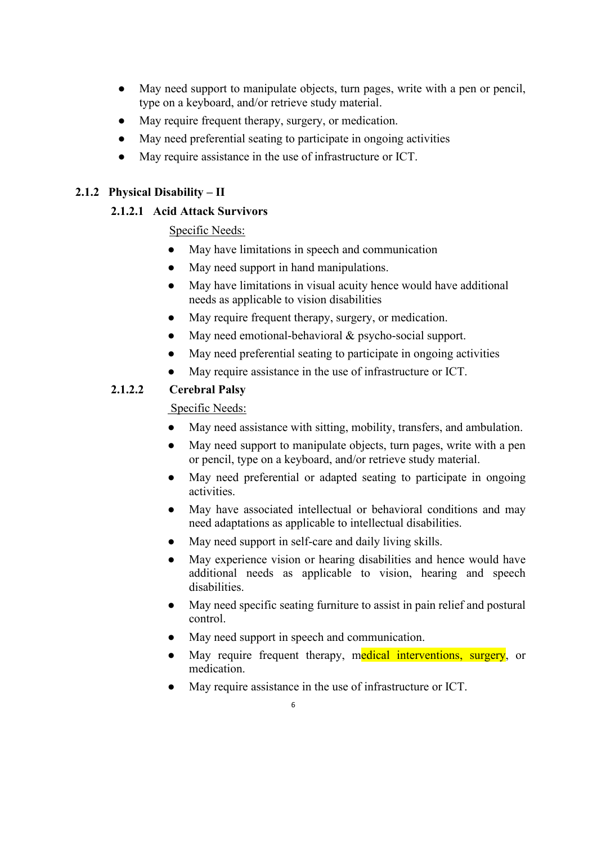- May need support to manipulate objects, turn pages, write with a pen or pencil, type on a keyboard, and/or retrieve study material.
- May require frequent therapy, surgery, or medication.
- May need preferential seating to participate in ongoing activities
- May require assistance in the use of infrastructure or ICT.

### **2.1.2 Physical Disability – II**

### **2.1.2.1 Acid Attack Survivors**

Specific Needs:

- May have limitations in speech and communication
- May need support in hand manipulations.
- May have limitations in visual acuity hence would have additional needs as applicable to vision disabilities
- May require frequent therapy, surgery, or medication.
- May need emotional-behavioral & psycho-social support.
- May need preferential seating to participate in ongoing activities
- May require assistance in the use of infrastructure or ICT.

## **2.1.2.2 Cerebral Palsy**

- May need assistance with sitting, mobility, transfers, and ambulation.
- May need support to manipulate objects, turn pages, write with a pen or pencil, type on a keyboard, and/or retrieve study material.
- May need preferential or adapted seating to participate in ongoing activities.
- May have associated intellectual or behavioral conditions and may need adaptations as applicable to intellectual disabilities.
- May need support in self-care and daily living skills.
- May experience vision or hearing disabilities and hence would have additional needs as applicable to vision, hearing and speech disabilities.
- May need specific seating furniture to assist in pain relief and postural control.
- May need support in speech and communication.
- May require frequent therapy, medical interventions, surgery, or medication.
- May require assistance in the use of infrastructure or ICT.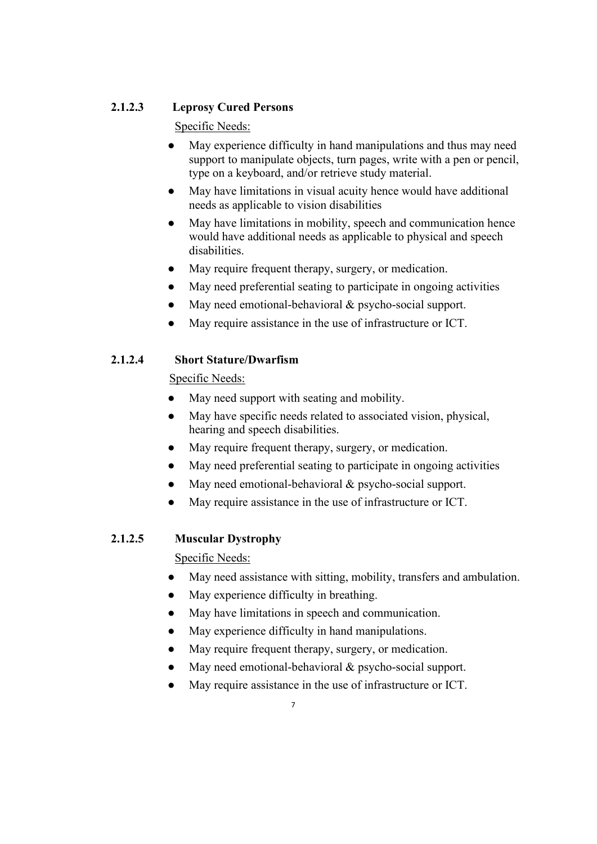## **2.1.2.3 Leprosy Cured Persons**

Specific Needs:

- May experience difficulty in hand manipulations and thus may need support to manipulate objects, turn pages, write with a pen or pencil, type on a keyboard, and/or retrieve study material.
- May have limitations in visual acuity hence would have additional needs as applicable to vision disabilities
- May have limitations in mobility, speech and communication hence would have additional needs as applicable to physical and speech disabilities.
- May require frequent therapy, surgery, or medication.
- May need preferential seating to participate in ongoing activities
- May need emotional-behavioral & psycho-social support.
- May require assistance in the use of infrastructure or ICT.

# **2.1.2.4 Short Stature/Dwarfism**

Specific Needs:

- May need support with seating and mobility.
- May have specific needs related to associated vision, physical, hearing and speech disabilities.
- May require frequent therapy, surgery, or medication.
- May need preferential seating to participate in ongoing activities
- May need emotional-behavioral  $&$  psycho-social support.
- May require assistance in the use of infrastructure or ICT.

# **2.1.2.5 Muscular Dystrophy**

- May need assistance with sitting, mobility, transfers and ambulation.
- May experience difficulty in breathing.
- May have limitations in speech and communication.
- May experience difficulty in hand manipulations.
- May require frequent therapy, surgery, or medication.
- May need emotional-behavioral & psycho-social support.
- May require assistance in the use of infrastructure or ICT.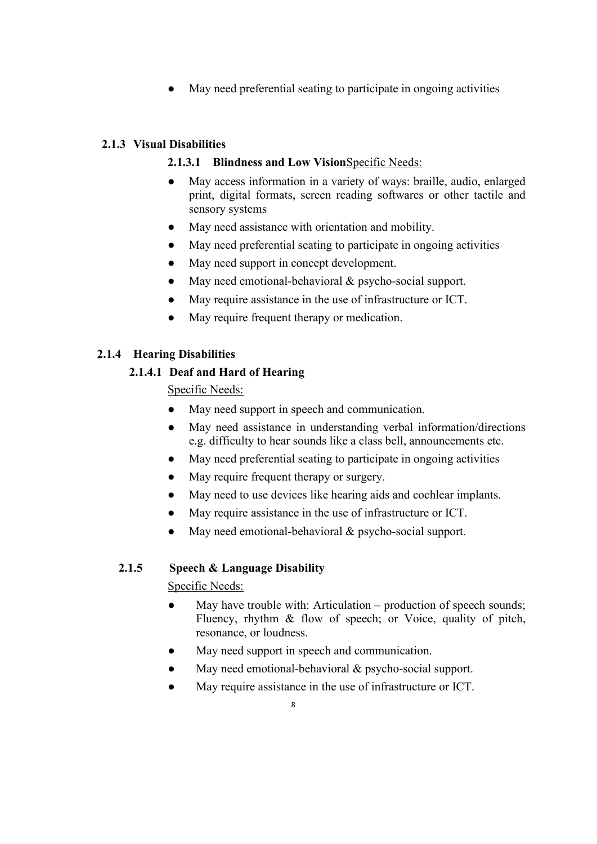● May need preferential seating to participate in ongoing activities

## **2.1.3 Visual Disabilities**

## **2.1.3.1 Blindness and Low Vision**Specific Needs:

- May access information in a variety of ways: braille, audio, enlarged print, digital formats, screen reading softwares or other tactile and sensory systems
- May need assistance with orientation and mobility.
- May need preferential seating to participate in ongoing activities
- May need support in concept development.
- May need emotional-behavioral & psycho-social support.
- May require assistance in the use of infrastructure or ICT.
- May require frequent therapy or medication.

## **2.1.4 Hearing Disabilities**

## **2.1.4.1 Deaf and Hard of Hearing**

Specific Needs:

- May need support in speech and communication.
- May need assistance in understanding verbal information/directions e.g. difficulty to hear sounds like a class bell, announcements etc.
- May need preferential seating to participate in ongoing activities
- May require frequent therapy or surgery.
- May need to use devices like hearing aids and cochlear implants.
- May require assistance in the use of infrastructure or ICT.
- May need emotional-behavioral & psycho-social support.

## **2.1.5 Speech & Language Disability**

- May have trouble with: Articulation production of speech sounds; Fluency, rhythm & flow of speech; or Voice, quality of pitch, resonance, or loudness.
- May need support in speech and communication.
- May need emotional-behavioral & psycho-social support.
- May require assistance in the use of infrastructure or ICT.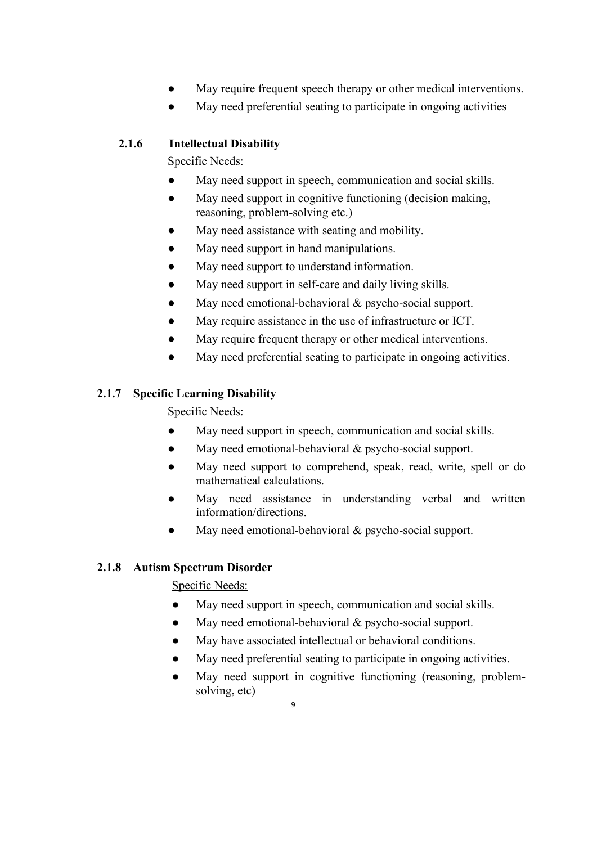- May require frequent speech therapy or other medical interventions.
- May need preferential seating to participate in ongoing activities

## **2.1.6 Intellectual Disability**

Specific Needs:

- May need support in speech, communication and social skills.
- May need support in cognitive functioning (decision making, reasoning, problem-solving etc.)
- May need assistance with seating and mobility.
- May need support in hand manipulations.
- May need support to understand information.
- May need support in self-care and daily living skills.
- May need emotional-behavioral & psycho-social support.
- May require assistance in the use of infrastructure or ICT.
- May require frequent therapy or other medical interventions.
- May need preferential seating to participate in ongoing activities.

## **2.1.7 Specific Learning Disability**

Specific Needs:

- May need support in speech, communication and social skills.
- May need emotional-behavioral & psycho-social support.
- May need support to comprehend, speak, read, write, spell or do mathematical calculations.
- May need assistance in understanding verbal and written information/directions.
- May need emotional-behavioral  $&$  psycho-social support.

## **2.1.8 Autism Spectrum Disorder**

- May need support in speech, communication and social skills.
- May need emotional-behavioral  $&$  psycho-social support.
- May have associated intellectual or behavioral conditions.
- May need preferential seating to participate in ongoing activities.
- May need support in cognitive functioning (reasoning, problemsolving, etc)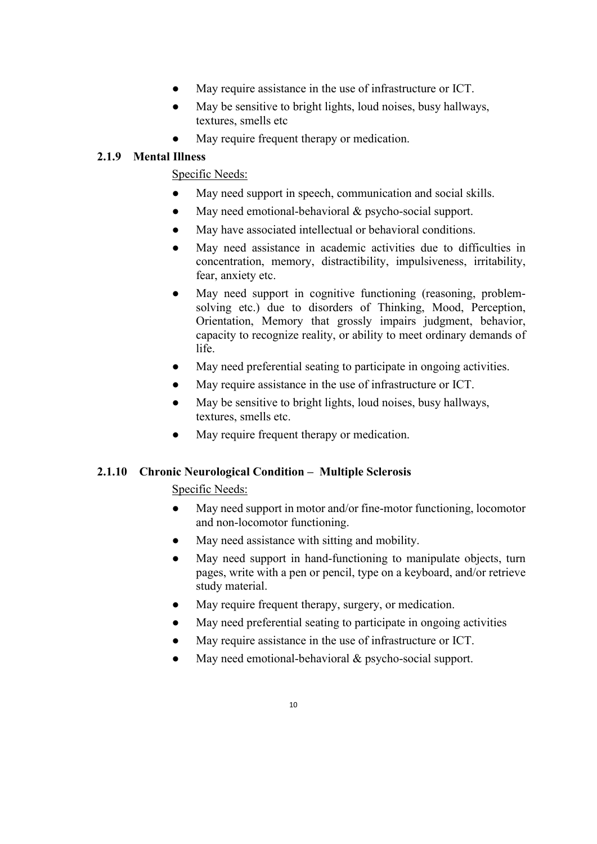- May require assistance in the use of infrastructure or ICT.
- May be sensitive to bright lights, loud noises, busy hallways, textures, smells etc
- May require frequent therapy or medication.

## **2.1.9 Mental Illness**

Specific Needs:

- May need support in speech, communication and social skills.
- May need emotional-behavioral & psycho-social support.
- May have associated intellectual or behavioral conditions.
- May need assistance in academic activities due to difficulties in concentration, memory, distractibility, impulsiveness, irritability, fear, anxiety etc.
- May need support in cognitive functioning (reasoning, problemsolving etc.) due to disorders of Thinking, Mood, Perception, Orientation, Memory that grossly impairs judgment, behavior, capacity to recognize reality, or ability to meet ordinary demands of life.
- May need preferential seating to participate in ongoing activities.
- May require assistance in the use of infrastructure or ICT.
- May be sensitive to bright lights, loud noises, busy hallways, textures, smells etc.
- May require frequent therapy or medication.

### **2.1.10 Chronic Neurological Condition – Multiple Sclerosis**

- May need support in motor and/or fine-motor functioning, locomotor and non-locomotor functioning.
- May need assistance with sitting and mobility.
- May need support in hand-functioning to manipulate objects, turn pages, write with a pen or pencil, type on a keyboard, and/or retrieve study material.
- May require frequent therapy, surgery, or medication.
- May need preferential seating to participate in ongoing activities
- May require assistance in the use of infrastructure or ICT.
- May need emotional-behavioral  $&$  psycho-social support.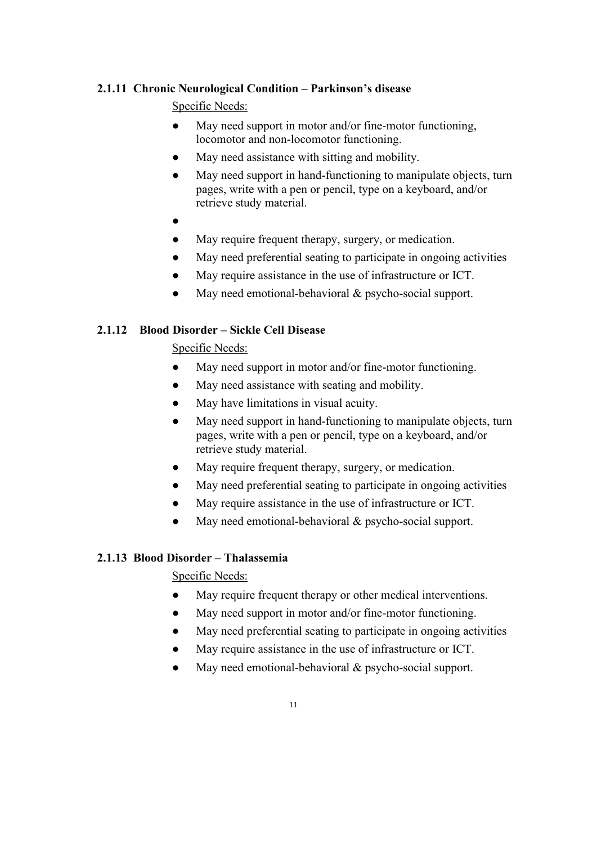### **2.1.11 Chronic Neurological Condition – Parkinson's disease**

### Specific Needs:

- May need support in motor and/or fine-motor functioning, locomotor and non-locomotor functioning.
- May need assistance with sitting and mobility.
- May need support in hand-functioning to manipulate objects, turn pages, write with a pen or pencil, type on a keyboard, and/or retrieve study material.
- ●
- May require frequent therapy, surgery, or medication.
- May need preferential seating to participate in ongoing activities
- May require assistance in the use of infrastructure or ICT.
- May need emotional-behavioral  $&$  psycho-social support.

### **2.1.12 Blood Disorder – Sickle Cell Disease**

Specific Needs:

- May need support in motor and/or fine-motor functioning.
- May need assistance with seating and mobility.
- May have limitations in visual acuity.
- May need support in hand-functioning to manipulate objects, turn pages, write with a pen or pencil, type on a keyboard, and/or retrieve study material.
- May require frequent therapy, surgery, or medication.
- May need preferential seating to participate in ongoing activities
- May require assistance in the use of infrastructure or ICT.
- May need emotional-behavioral  $&$  psycho-social support.

### **2.1.13 Blood Disorder – Thalassemia**

- May require frequent therapy or other medical interventions.
- May need support in motor and/or fine-motor functioning.
- May need preferential seating to participate in ongoing activities
- May require assistance in the use of infrastructure or ICT.
- May need emotional-behavioral  $&$  psycho-social support.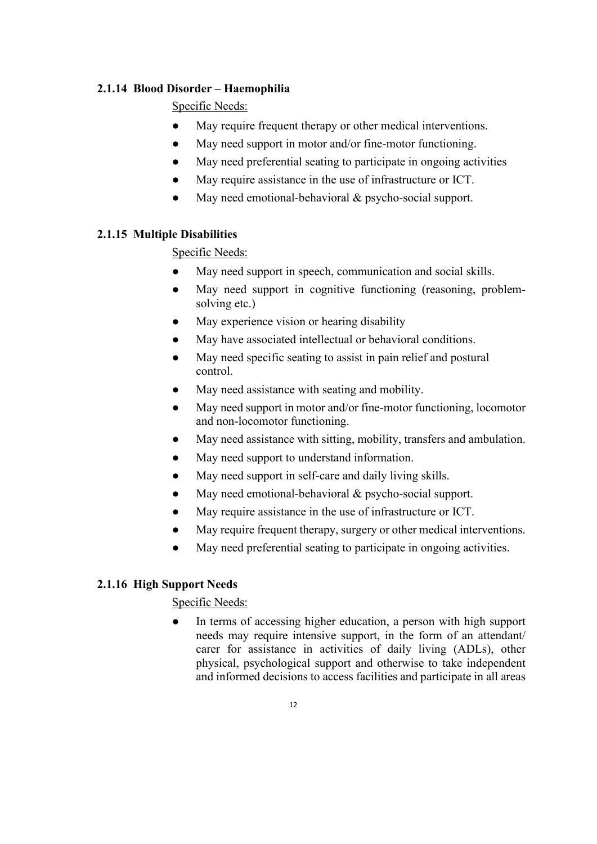### **2.1.14 Blood Disorder – Haemophilia**

### Specific Needs:

- May require frequent therapy or other medical interventions.
- May need support in motor and/or fine-motor functioning.
- May need preferential seating to participate in ongoing activities
- May require assistance in the use of infrastructure or ICT.
- May need emotional-behavioral  $&$  psycho-social support.

## **2.1.15 Multiple Disabilities**

Specific Needs:

- May need support in speech, communication and social skills.
- May need support in cognitive functioning (reasoning, problemsolving etc.)
- May experience vision or hearing disability
- May have associated intellectual or behavioral conditions.
- May need specific seating to assist in pain relief and postural control.
- May need assistance with seating and mobility.
- May need support in motor and/or fine-motor functioning, locomotor and non-locomotor functioning.
- May need assistance with sitting, mobility, transfers and ambulation.
- May need support to understand information.
- May need support in self-care and daily living skills.
- May need emotional-behavioral  $&$  psycho-social support.
- May require assistance in the use of infrastructure or ICT.
- May require frequent therapy, surgery or other medical interventions.
- May need preferential seating to participate in ongoing activities.

### **2.1.16 High Support Needs**

### Specific Needs:

In terms of accessing higher education, a person with high support needs may require intensive support, in the form of an attendant/ carer for assistance in activities of daily living (ADLs), other physical, psychological support and otherwise to take independent and informed decisions to access facilities and participate in all areas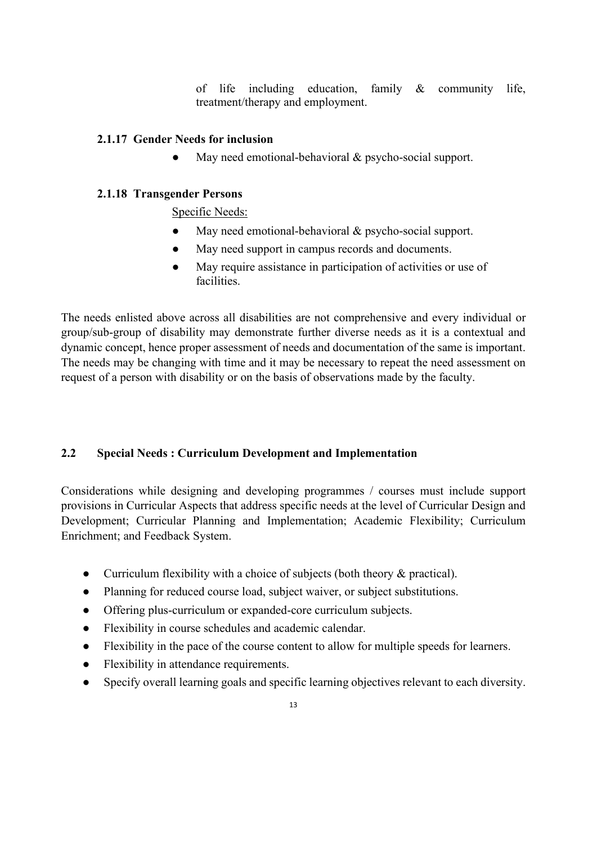of life including education, family & community life, treatment/therapy and employment.

### **2.1.17 Gender Needs for inclusion**

• May need emotional-behavioral & psycho-social support.

### **2.1.18 Transgender Persons**

Specific Needs:

- May need emotional-behavioral  $&$  psycho-social support.
- May need support in campus records and documents.
- May require assistance in participation of activities or use of facilities.

The needs enlisted above across all disabilities are not comprehensive and every individual or group/sub-group of disability may demonstrate further diverse needs as it is a contextual and dynamic concept, hence proper assessment of needs and documentation of the same is important. The needs may be changing with time and it may be necessary to repeat the need assessment on request of a person with disability or on the basis of observations made by the faculty.

### **2.2 Special Needs : Curriculum Development and Implementation**

Considerations while designing and developing programmes / courses must include support provisions in Curricular Aspects that address specific needs at the level of Curricular Design and Development; Curricular Planning and Implementation; Academic Flexibility; Curriculum Enrichment; and Feedback System.

- Curriculum flexibility with a choice of subjects (both theory & practical).
- Planning for reduced course load, subject waiver, or subject substitutions.
- Offering plus-curriculum or expanded-core curriculum subjects.
- Flexibility in course schedules and academic calendar.
- Flexibility in the pace of the course content to allow for multiple speeds for learners.
- Flexibility in attendance requirements.
- Specify overall learning goals and specific learning objectives relevant to each diversity.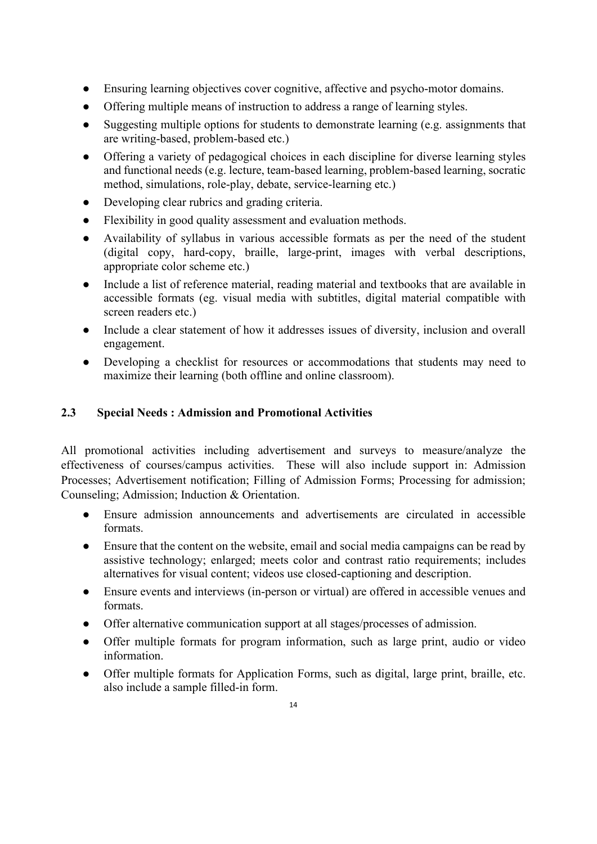- Ensuring learning objectives cover cognitive, affective and psycho-motor domains.
- Offering multiple means of instruction to address a range of learning styles.
- Suggesting multiple options for students to demonstrate learning (e.g. assignments that are writing-based, problem-based etc.)
- Offering a variety of pedagogical choices in each discipline for diverse learning styles and functional needs (e.g. lecture, team-based learning, problem-based learning, socratic method, simulations, role-play, debate, service-learning etc.)
- Developing clear rubrics and grading criteria.
- Flexibility in good quality assessment and evaluation methods.
- Availability of syllabus in various accessible formats as per the need of the student (digital copy, hard-copy, braille, large-print, images with verbal descriptions, appropriate color scheme etc.)
- Include a list of reference material, reading material and textbooks that are available in accessible formats (eg. visual media with subtitles, digital material compatible with screen readers etc.)
- Include a clear statement of how it addresses issues of diversity, inclusion and overall engagement.
- Developing a checklist for resources or accommodations that students may need to maximize their learning (both offline and online classroom).

## **2.3 Special Needs : Admission and Promotional Activities**

All promotional activities including advertisement and surveys to measure/analyze the effectiveness of courses/campus activities. These will also include support in: Admission Processes; Advertisement notification; Filling of Admission Forms; Processing for admission; Counseling; Admission; Induction & Orientation.

- Ensure admission announcements and advertisements are circulated in accessible formats.
- Ensure that the content on the website, email and social media campaigns can be read by assistive technology; enlarged; meets color and contrast ratio requirements; includes alternatives for visual content; videos use closed-captioning and description.
- Ensure events and interviews (in-person or virtual) are offered in accessible venues and formats.
- Offer alternative communication support at all stages/processes of admission.
- Offer multiple formats for program information, such as large print, audio or video information.
- Offer multiple formats for Application Forms, such as digital, large print, braille, etc. also include a sample filled-in form.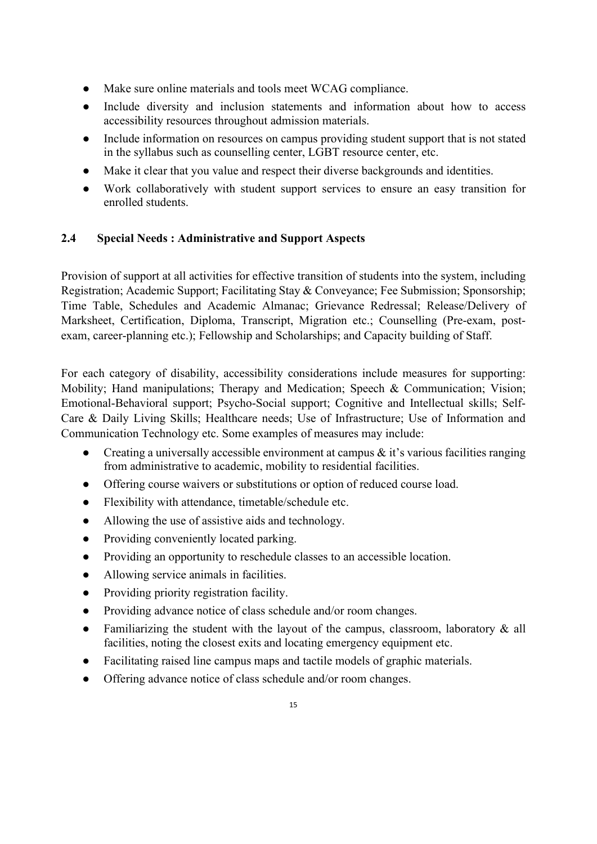- Make sure online materials and tools meet WCAG compliance.
- Include diversity and inclusion statements and information about how to access accessibility resources throughout admission materials.
- Include information on resources on campus providing student support that is not stated in the syllabus such as counselling center, LGBT resource center, etc.
- Make it clear that you value and respect their diverse backgrounds and identities.
- Work collaboratively with student support services to ensure an easy transition for enrolled students.

## **2.4 Special Needs : Administrative and Support Aspects**

Provision of support at all activities for effective transition of students into the system, including Registration; Academic Support; Facilitating Stay & Conveyance; Fee Submission; Sponsorship; Time Table, Schedules and Academic Almanac; Grievance Redressal; Release/Delivery of Marksheet, Certification, Diploma, Transcript, Migration etc.; Counselling (Pre-exam, postexam, career-planning etc.); Fellowship and Scholarships; and Capacity building of Staff.

For each category of disability, accessibility considerations include measures for supporting: Mobility; Hand manipulations; Therapy and Medication; Speech & Communication; Vision; Emotional-Behavioral support; Psycho-Social support; Cognitive and Intellectual skills; Self-Care & Daily Living Skills; Healthcare needs; Use of Infrastructure; Use of Information and Communication Technology etc. Some examples of measures may include:

- Creating a universally accessible environment at campus  $\&$  it's various facilities ranging from administrative to academic, mobility to residential facilities.
- Offering course waivers or substitutions or option of reduced course load.
- Flexibility with attendance, timetable/schedule etc.
- Allowing the use of assistive aids and technology.
- Providing conveniently located parking.
- Providing an opportunity to reschedule classes to an accessible location.
- Allowing service animals in facilities.
- Providing priority registration facility.
- Providing advance notice of class schedule and/or room changes.
- Familiarizing the student with the layout of the campus, classroom, laboratory & all facilities, noting the closest exits and locating emergency equipment etc.
- Facilitating raised line campus maps and tactile models of graphic materials.
- Offering advance notice of class schedule and/or room changes.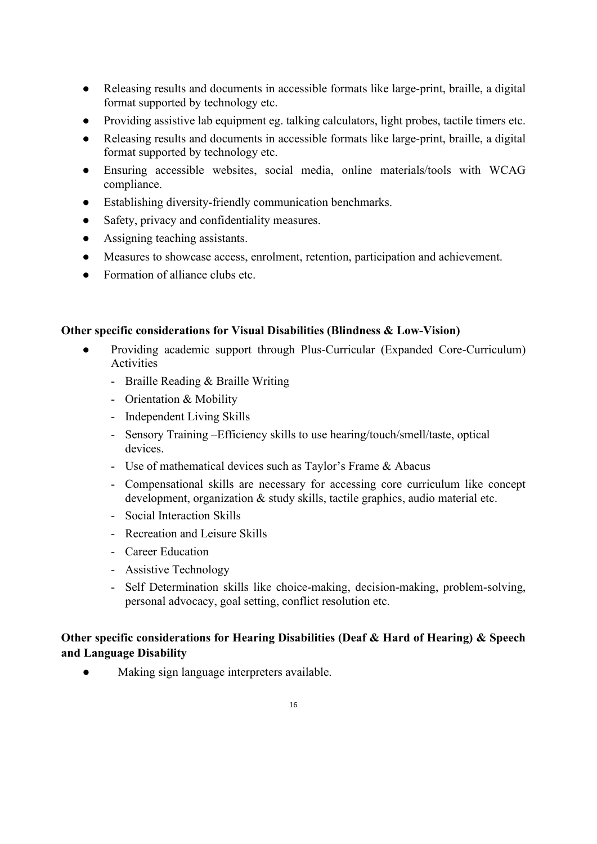- Releasing results and documents in accessible formats like large-print, braille, a digital format supported by technology etc.
- Providing assistive lab equipment eg. talking calculators, light probes, tactile timers etc.
- Releasing results and documents in accessible formats like large-print, braille, a digital format supported by technology etc.
- Ensuring accessible websites, social media, online materials/tools with WCAG compliance.
- Establishing diversity-friendly communication benchmarks.
- Safety, privacy and confidentiality measures.
- Assigning teaching assistants.
- Measures to showcase access, enrolment, retention, participation and achievement.
- Formation of alliance clubs etc.

### **Other specific considerations for Visual Disabilities (Blindness & Low-Vision)**

- Providing academic support through Plus-Curricular (Expanded Core-Curriculum) Activities
	- Braille Reading & Braille Writing
	- Orientation & Mobility
	- Independent Living Skills
	- Sensory Training –Efficiency skills to use hearing/touch/smell/taste, optical devices.
	- Use of mathematical devices such as Taylor's Frame & Abacus
	- Compensational skills are necessary for accessing core curriculum like concept development, organization & study skills, tactile graphics, audio material etc.
	- Social Interaction Skills
	- Recreation and Leisure Skills
	- Career Education
	- Assistive Technology
	- Self Determination skills like choice-making, decision-making, problem-solving, personal advocacy, goal setting, conflict resolution etc.

## **Other specific considerations for Hearing Disabilities (Deaf & Hard of Hearing) & Speech and Language Disability**

● Making sign language interpreters available.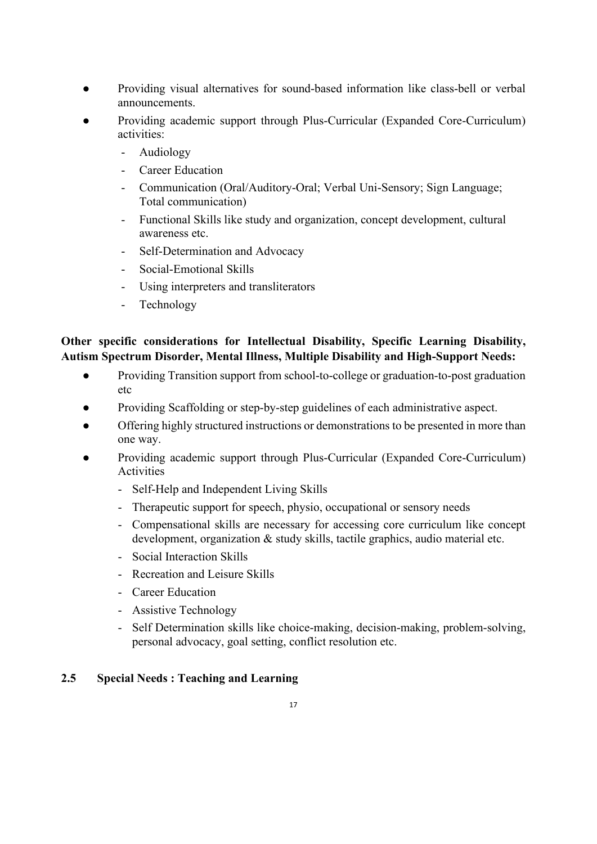- Providing visual alternatives for sound-based information like class-bell or verbal announcements.
- Providing academic support through Plus-Curricular (Expanded Core-Curriculum) activities:
	- Audiology
	- Career Education
	- Communication (Oral/Auditory-Oral; Verbal Uni-Sensory; Sign Language; Total communication)
	- Functional Skills like study and organization, concept development, cultural awareness etc.
	- Self-Determination and Advocacy
	- Social-Emotional Skills
	- Using interpreters and transliterators
	- Technology

## **Other specific considerations for Intellectual Disability, Specific Learning Disability, Autism Spectrum Disorder, Mental Illness, Multiple Disability and High-Support Needs:**

- Providing Transition support from school-to-college or graduation-to-post graduation etc
- Providing Scaffolding or step-by-step guidelines of each administrative aspect.
- Offering highly structured instructions or demonstrations to be presented in more than one way.
- Providing academic support through Plus-Curricular (Expanded Core-Curriculum) **Activities** 
	- Self-Help and Independent Living Skills
	- Therapeutic support for speech, physio, occupational or sensory needs
	- Compensational skills are necessary for accessing core curriculum like concept development, organization & study skills, tactile graphics, audio material etc.
	- Social Interaction Skills
	- Recreation and Leisure Skills
	- Career Education
	- Assistive Technology
	- Self Determination skills like choice-making, decision-making, problem-solving, personal advocacy, goal setting, conflict resolution etc.

## **2.5 Special Needs : Teaching and Learning**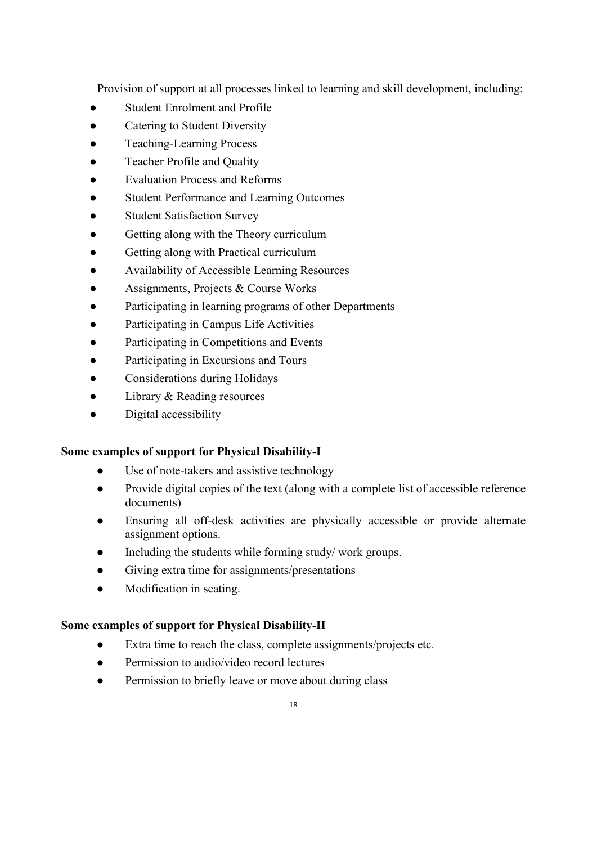Provision of support at all processes linked to learning and skill development, including:

- **Student Enrolment and Profile**
- Catering to Student Diversity
- Teaching-Learning Process
- Teacher Profile and Quality
- **Evaluation Process and Reforms**
- Student Performance and Learning Outcomes
- Student Satisfaction Survey
- Getting along with the Theory curriculum
- Getting along with Practical curriculum
- Availability of Accessible Learning Resources
- Assignments, Projects & Course Works
- Participating in learning programs of other Departments
- Participating in Campus Life Activities
- Participating in Competitions and Events
- Participating in Excursions and Tours
- Considerations during Holidays
- Library & Reading resources
- Digital accessibility

## **Some examples of support for Physical Disability-I**

- Use of note-takers and assistive technology
- Provide digital copies of the text (along with a complete list of accessible reference documents)
- Ensuring all off-desk activities are physically accessible or provide alternate assignment options.
- Including the students while forming study/ work groups.
- Giving extra time for assignments/presentations
- Modification in seating.

## **Some examples of support for Physical Disability-II**

- Extra time to reach the class, complete assignments/projects etc.
- Permission to audio/video record lectures
- Permission to briefly leave or move about during class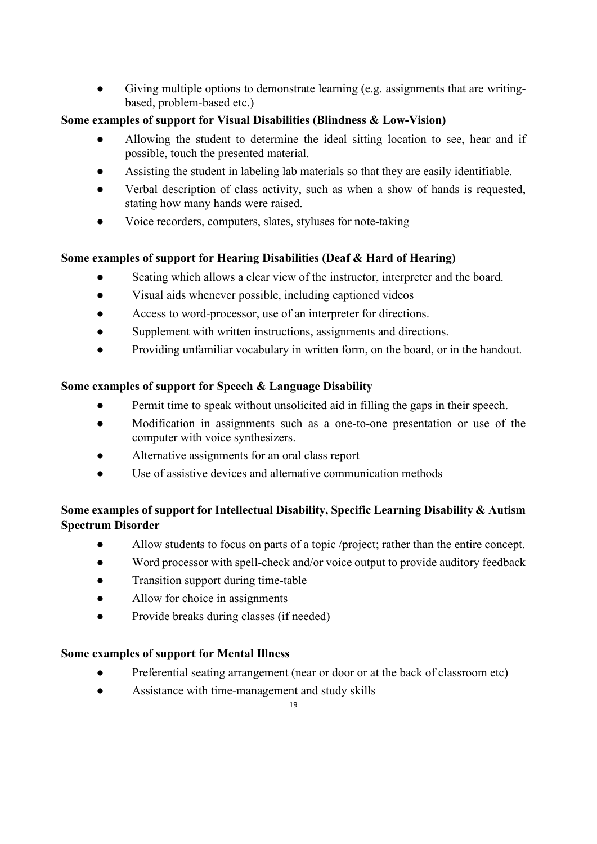● Giving multiple options to demonstrate learning (e.g. assignments that are writingbased, problem-based etc.)

## **Some examples of support for Visual Disabilities (Blindness & Low-Vision)**

- Allowing the student to determine the ideal sitting location to see, hear and if possible, touch the presented material.
- Assisting the student in labeling lab materials so that they are easily identifiable.
- Verbal description of class activity, such as when a show of hands is requested, stating how many hands were raised.
- Voice recorders, computers, slates, styluses for note-taking

# **Some examples of support for Hearing Disabilities (Deaf & Hard of Hearing)**

- Seating which allows a clear view of the instructor, interpreter and the board.
- Visual aids whenever possible, including captioned videos
- Access to word-processor, use of an interpreter for directions.
- Supplement with written instructions, assignments and directions.
- Providing unfamiliar vocabulary in written form, on the board, or in the handout.

# **Some examples of support for Speech & Language Disability**

- Permit time to speak without unsolicited aid in filling the gaps in their speech.
- Modification in assignments such as a one-to-one presentation or use of the computer with voice synthesizers.
- Alternative assignments for an oral class report
- Use of assistive devices and alternative communication methods

# **Some examples of support for Intellectual Disability, Specific Learning Disability & Autism Spectrum Disorder**

- Allow students to focus on parts of a topic /project; rather than the entire concept.
- Word processor with spell-check and/or voice output to provide auditory feedback
- Transition support during time-table
- Allow for choice in assignments
- Provide breaks during classes (if needed)

# **Some examples of support for Mental Illness**

- Preferential seating arrangement (near or door or at the back of classroom etc)
- Assistance with time-management and study skills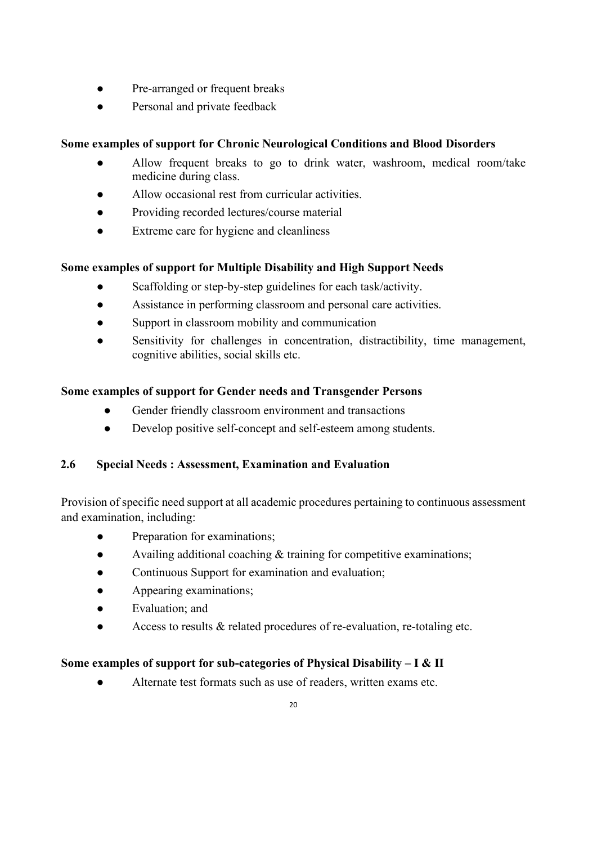- Pre-arranged or frequent breaks
- Personal and private feedback

# **Some examples of support for Chronic Neurological Conditions and Blood Disorders**

- Allow frequent breaks to go to drink water, washroom, medical room/take medicine during class.
- Allow occasional rest from curricular activities.
- Providing recorded lectures/course material
- Extreme care for hygiene and cleanliness

# **Some examples of support for Multiple Disability and High Support Needs**

- Scaffolding or step-by-step guidelines for each task/activity.
- Assistance in performing classroom and personal care activities.
- Support in classroom mobility and communication
- Sensitivity for challenges in concentration, distractibility, time management, cognitive abilities, social skills etc.

# **Some examples of support for Gender needs and Transgender Persons**

- Gender friendly classroom environment and transactions
- Develop positive self-concept and self-esteem among students.

# **2.6 Special Needs : Assessment, Examination and Evaluation**

Provision of specific need support at all academic procedures pertaining to continuous assessment and examination, including:

- Preparation for examinations;
- Availing additional coaching & training for competitive examinations;
- Continuous Support for examination and evaluation;
- Appearing examinations;
- Evaluation; and
- Access to results & related procedures of re-evaluation, re-totaling etc.

# **Some examples of support for sub-categories of Physical Disability – I & II**

Alternate test formats such as use of readers, written exams etc.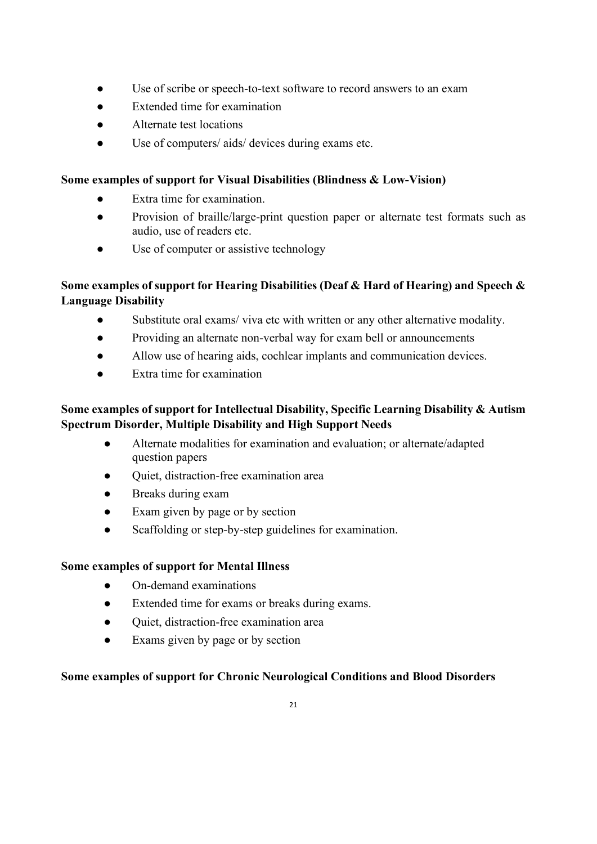- Use of scribe or speech-to-text software to record answers to an exam
- Extended time for examination
- Alternate test locations
- Use of computers/ aids/ devices during exams etc.

## **Some examples of support for Visual Disabilities (Blindness & Low-Vision)**

- Extra time for examination.
- Provision of braille/large-print question paper or alternate test formats such as audio, use of readers etc.
- Use of computer or assistive technology

## **Some examples of support for Hearing Disabilities (Deaf & Hard of Hearing) and Speech & Language Disability**

- Substitute oral exams/ viva etc with written or any other alternative modality.
- Providing an alternate non-verbal way for exam bell or announcements
- Allow use of hearing aids, cochlear implants and communication devices.
- Extra time for examination

# **Some examples of support for Intellectual Disability, Specific Learning Disability & Autism Spectrum Disorder, Multiple Disability and High Support Needs**

- Alternate modalities for examination and evaluation; or alternate/adapted question papers
- Quiet, distraction-free examination area
- Breaks during exam
- Exam given by page or by section
- Scaffolding or step-by-step guidelines for examination.

## **Some examples of support for Mental Illness**

- On-demand examinations
- Extended time for exams or breaks during exams.
- Quiet, distraction-free examination area
- Exams given by page or by section

## **Some examples of support for Chronic Neurological Conditions and Blood Disorders**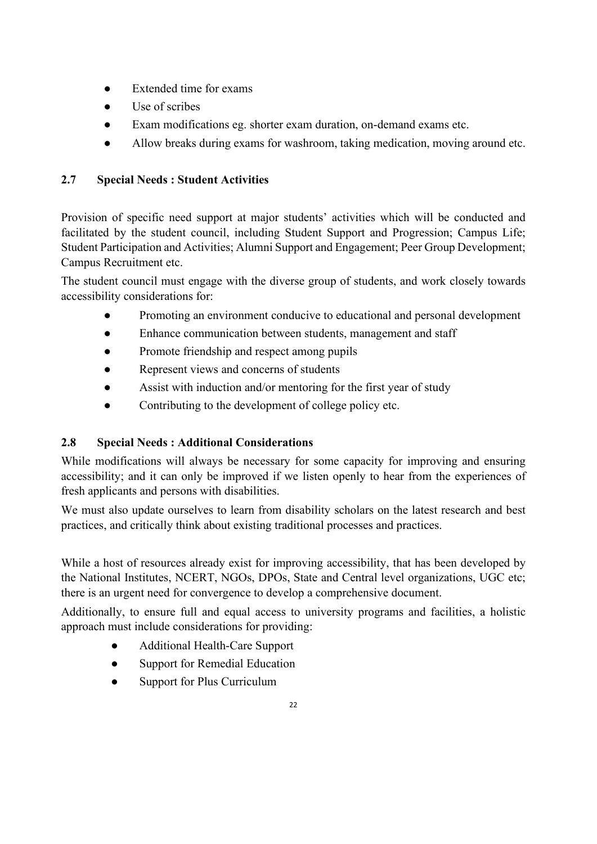- Extended time for exams
- Use of scribes
- Exam modifications eg. shorter exam duration, on-demand exams etc.
- Allow breaks during exams for washroom, taking medication, moving around etc.

# **2.7 Special Needs : Student Activities**

Provision of specific need support at major students' activities which will be conducted and facilitated by the student council, including Student Support and Progression; Campus Life; Student Participation and Activities; Alumni Support and Engagement; Peer Group Development; Campus Recruitment etc.

The student council must engage with the diverse group of students, and work closely towards accessibility considerations for:

- Promoting an environment conducive to educational and personal development
- Enhance communication between students, management and staff
- Promote friendship and respect among pupils
- Represent views and concerns of students
- Assist with induction and/or mentoring for the first year of study
- Contributing to the development of college policy etc.

# **2.8 Special Needs : Additional Considerations**

While modifications will always be necessary for some capacity for improving and ensuring accessibility; and it can only be improved if we listen openly to hear from the experiences of fresh applicants and persons with disabilities.

We must also update ourselves to learn from disability scholars on the latest research and best practices, and critically think about existing traditional processes and practices.

While a host of resources already exist for improving accessibility, that has been developed by the National Institutes, NCERT, NGOs, DPOs, State and Central level organizations, UGC etc; there is an urgent need for convergence to develop a comprehensive document.

Additionally, to ensure full and equal access to university programs and facilities, a holistic approach must include considerations for providing:

- Additional Health-Care Support
- Support for Remedial Education
- Support for Plus Curriculum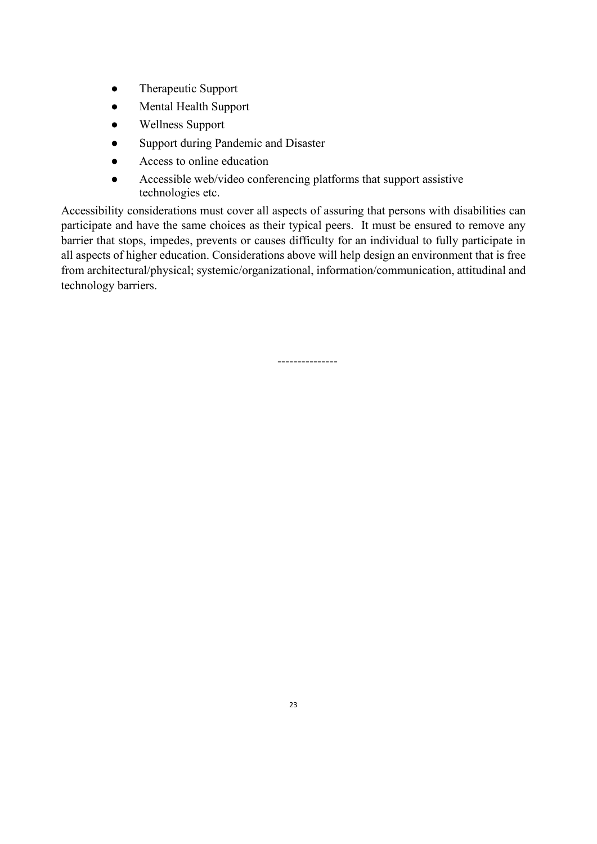- Therapeutic Support
- Mental Health Support
- Wellness Support
- Support during Pandemic and Disaster
- Access to online education
- Accessible web/video conferencing platforms that support assistive technologies etc.

Accessibility considerations must cover all aspects of assuring that persons with disabilities can participate and have the same choices as their typical peers. It must be ensured to remove any barrier that stops, impedes, prevents or causes difficulty for an individual to fully participate in all aspects of higher education. Considerations above will help design an environment that is free from architectural/physical; systemic/organizational, information/communication, attitudinal and technology barriers.

---------------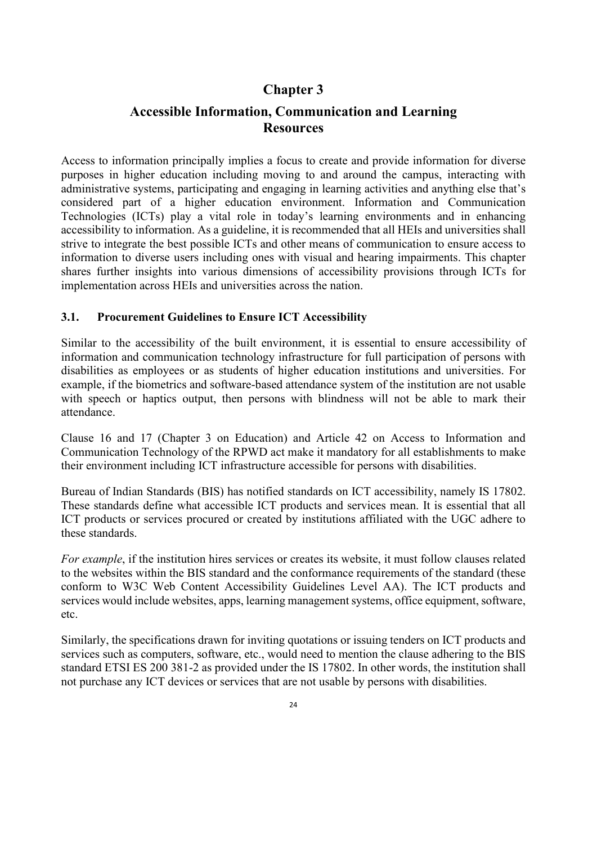# **Chapter 3**

# **Accessible Information, Communication and Learning Resources**

Access to information principally implies a focus to create and provide information for diverse purposes in higher education including moving to and around the campus, interacting with administrative systems, participating and engaging in learning activities and anything else that's considered part of a higher education environment. Information and Communication Technologies (ICTs) play a vital role in today's learning environments and in enhancing accessibility to information. As a guideline, it is recommended that all HEIs and universities shall strive to integrate the best possible ICTs and other means of communication to ensure access to information to diverse users including ones with visual and hearing impairments. This chapter shares further insights into various dimensions of accessibility provisions through ICTs for implementation across HEIs and universities across the nation.

### **3.1. Procurement Guidelines to Ensure ICT Accessibility**

Similar to the accessibility of the built environment, it is essential to ensure accessibility of information and communication technology infrastructure for full participation of persons with disabilities as employees or as students of higher education institutions and universities. For example, if the biometrics and software-based attendance system of the institution are not usable with speech or haptics output, then persons with blindness will not be able to mark their attendance.

Clause 16 and 17 (Chapter 3 on Education) and Article 42 on Access to Information and Communication Technology of the RPWD act make it mandatory for all establishments to make their environment including ICT infrastructure accessible for persons with disabilities.

Bureau of Indian Standards (BIS) has notified standards on ICT accessibility, namely IS 17802. These standards define what accessible ICT products and services mean. It is essential that all ICT products or services procured or created by institutions affiliated with the UGC adhere to these standards.

*For example*, if the institution hires services or creates its website, it must follow clauses related to the websites within the BIS standard and the conformance requirements of the standard (these conform to W3C Web Content Accessibility Guidelines Level AA). The ICT products and services would include websites, apps, learning management systems, office equipment, software, etc.

Similarly, the specifications drawn for inviting quotations or issuing tenders on ICT products and services such as computers, software, etc., would need to mention the clause adhering to the BIS standard ETSI ES 200 381-2 as provided under the IS 17802. In other words, the institution shall not purchase any ICT devices or services that are not usable by persons with disabilities.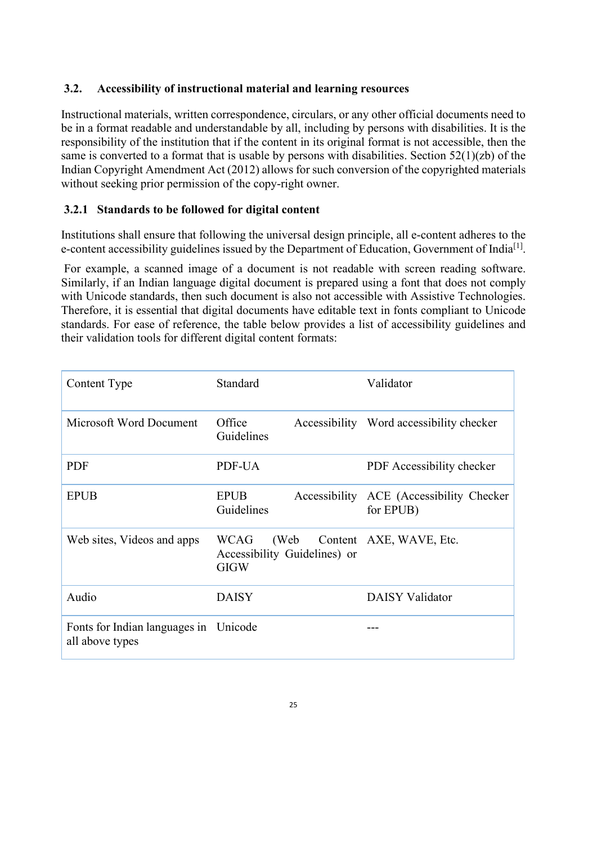### **3.2. Accessibility of instructional material and learning resources**

Instructional materials, written correspondence, circulars, or any other official documents need to be in a format readable and understandable by all, including by persons with disabilities. It is the responsibility of the institution that if the content in its original format is not accessible, then the same is converted to a format that is usable by persons with disabilities. Section 52(1)(zb) of the Indian Copyright Amendment Act (2012) allows for such conversion of the copyrighted materials without seeking prior permission of the copy-right owner.

### **3.2.1 Standards to be followed for digital content**

Institutions shall ensure that following the universal design principle, all e-content adheres to the e-content accessibility guidelines issued by the Department of Education, Government of India<sup>[1]</sup>.

For example, a scanned image of a document is not readable with screen reading software. Similarly, if an Indian language digital document is prepared using a font that does not comply with Unicode standards, then such document is also not accessible with Assistive Technologies. Therefore, it is essential that digital documents have editable text in fonts compliant to Unicode standards. For ease of reference, the table below provides a list of accessibility guidelines and their validation tools for different digital content formats:

| Content Type                                             | Standard                                                   | Validator                                |
|----------------------------------------------------------|------------------------------------------------------------|------------------------------------------|
| Microsoft Word Document                                  | Office<br>Guidelines                                       | Accessibility Word accessibility checker |
| <b>PDF</b>                                               | PDF-UA                                                     | PDF Accessibility checker                |
| <b>EPUB</b>                                              | <b>EPUB</b><br>Accessibility<br>Guidelines                 | ACE (Accessibility Checker<br>for EPUB)  |
| Web sites, Videos and apps                               | <b>WCAG</b><br>Accessibility Guidelines) or<br><b>GIGW</b> | (Web Content AXE, WAVE, Etc.             |
| Audio                                                    | <b>DAISY</b>                                               | <b>DAISY Validator</b>                   |
| Fonts for Indian languages in Unicode<br>all above types |                                                            |                                          |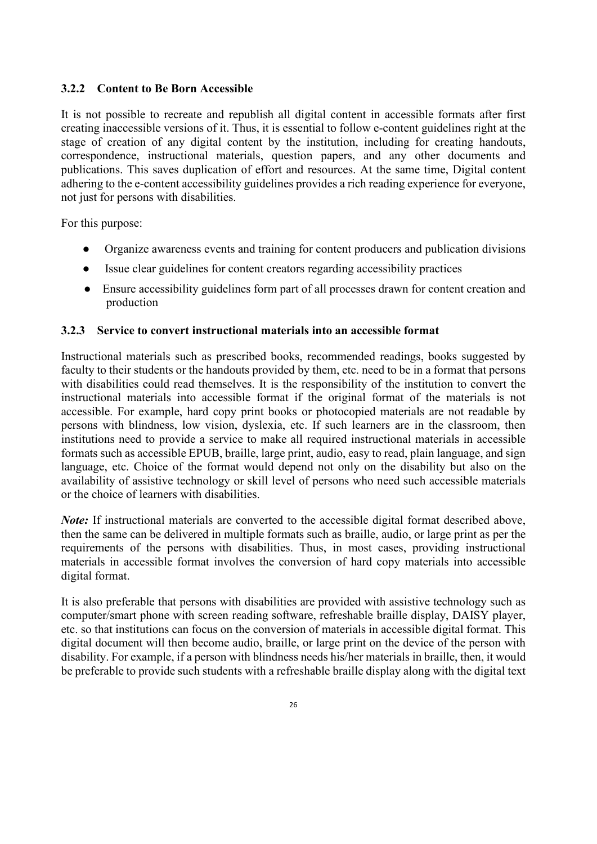### **3.2.2 Content to Be Born Accessible**

It is not possible to recreate and republish all digital content in accessible formats after first creating inaccessible versions of it. Thus, it is essential to follow e-content guidelines right at the stage of creation of any digital content by the institution, including for creating handouts, correspondence, instructional materials, question papers, and any other documents and publications. This saves duplication of effort and resources. At the same time, Digital content adhering to the e-content accessibility guidelines provides a rich reading experience for everyone, not just for persons with disabilities.

For this purpose:

- Organize awareness events and training for content producers and publication divisions
- Issue clear guidelines for content creators regarding accessibility practices
- Ensure accessibility guidelines form part of all processes drawn for content creation and production

### **3.2.3 Service to convert instructional materials into an accessible format**

Instructional materials such as prescribed books, recommended readings, books suggested by faculty to their students or the handouts provided by them, etc. need to be in a format that persons with disabilities could read themselves. It is the responsibility of the institution to convert the instructional materials into accessible format if the original format of the materials is not accessible. For example, hard copy print books or photocopied materials are not readable by persons with blindness, low vision, dyslexia, etc. If such learners are in the classroom, then institutions need to provide a service to make all required instructional materials in accessible formats such as accessible EPUB, braille, large print, audio, easy to read, plain language, and sign language, etc. Choice of the format would depend not only on the disability but also on the availability of assistive technology or skill level of persons who need such accessible materials or the choice of learners with disabilities.

*Note:* If instructional materials are converted to the accessible digital format described above, then the same can be delivered in multiple formats such as braille, audio, or large print as per the requirements of the persons with disabilities. Thus, in most cases, providing instructional materials in accessible format involves the conversion of hard copy materials into accessible digital format.

It is also preferable that persons with disabilities are provided with assistive technology such as computer/smart phone with screen reading software, refreshable braille display, DAISY player, etc. so that institutions can focus on the conversion of materials in accessible digital format. This digital document will then become audio, braille, or large print on the device of the person with disability. For example, if a person with blindness needs his/her materials in braille, then, it would be preferable to provide such students with a refreshable braille display along with the digital text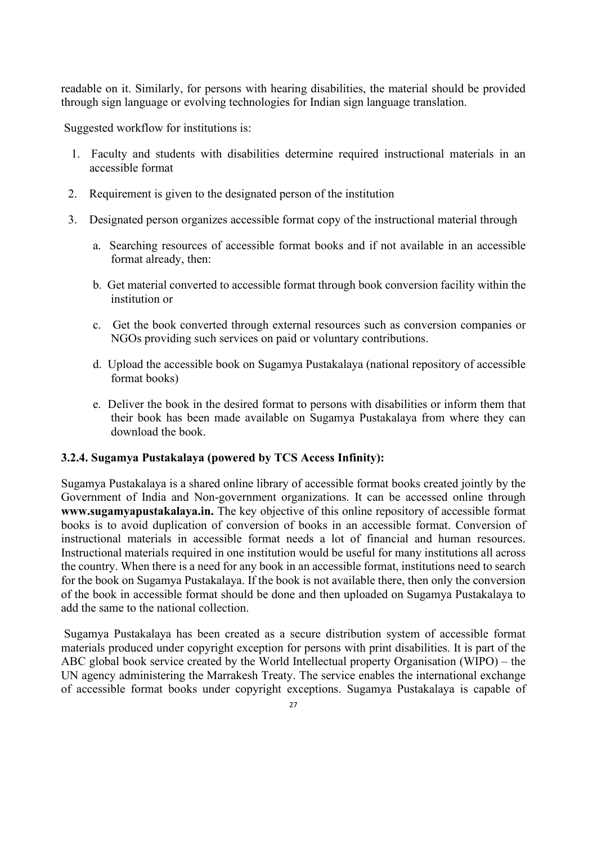readable on it. Similarly, for persons with hearing disabilities, the material should be provided through sign language or evolving technologies for Indian sign language translation.

Suggested workflow for institutions is:

- 1. Faculty and students with disabilities determine required instructional materials in an accessible format
- 2. Requirement is given to the designated person of the institution
- 3. Designated person organizes accessible format copy of the instructional material through
	- a. Searching resources of accessible format books and if not available in an accessible format already, then:
	- b. Get material converted to accessible format through book conversion facility within the institution or
	- c. Get the book converted through external resources such as conversion companies or NGOs providing such services on paid or voluntary contributions.
	- d. Upload the accessible book on Sugamya Pustakalaya (national repository of accessible format books)
	- e. Deliver the book in the desired format to persons with disabilities or inform them that their book has been made available on Sugamya Pustakalaya from where they can download the book.

### **3.2.4. Sugamya Pustakalaya (powered by TCS Access Infinity):**

Sugamya Pustakalaya is a shared online library of accessible format books created jointly by the Government of India and Non-government organizations. It can be accessed online through **www.sugamyapustakalaya.in.** The key objective of this online repository of accessible format books is to avoid duplication of conversion of books in an accessible format. Conversion of instructional materials in accessible format needs a lot of financial and human resources. Instructional materials required in one institution would be useful for many institutions all across the country. When there is a need for any book in an accessible format, institutions need to search for the book on Sugamya Pustakalaya. If the book is not available there, then only the conversion of the book in accessible format should be done and then uploaded on Sugamya Pustakalaya to add the same to the national collection.

Sugamya Pustakalaya has been created as a secure distribution system of accessible format materials produced under copyright exception for persons with print disabilities. It is part of the ABC global book service created by the World Intellectual property Organisation (WIPO) – the UN agency administering the Marrakesh Treaty. The service enables the international exchange of accessible format books under copyright exceptions. Sugamya Pustakalaya is capable of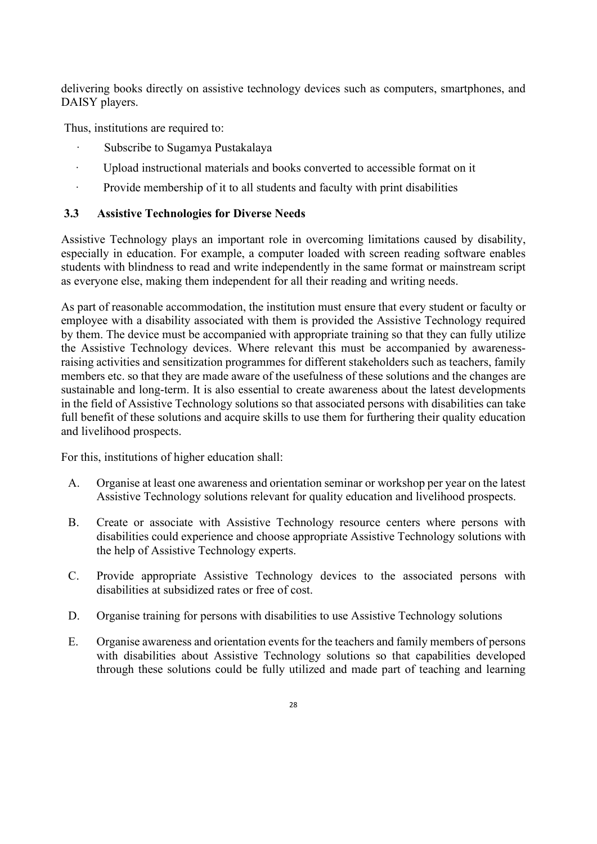delivering books directly on assistive technology devices such as computers, smartphones, and DAISY players.

Thus, institutions are required to:

- Subscribe to Sugamya Pustakalaya
- · Upload instructional materials and books converted to accessible format on it
- · Provide membership of it to all students and faculty with print disabilities

## **3.3 Assistive Technologies for Diverse Needs**

Assistive Technology plays an important role in overcoming limitations caused by disability, especially in education. For example, a computer loaded with screen reading software enables students with blindness to read and write independently in the same format or mainstream script as everyone else, making them independent for all their reading and writing needs.

As part of reasonable accommodation, the institution must ensure that every student or faculty or employee with a disability associated with them is provided the Assistive Technology required by them. The device must be accompanied with appropriate training so that they can fully utilize the Assistive Technology devices. Where relevant this must be accompanied by awarenessraising activities and sensitization programmes for different stakeholders such as teachers, family members etc. so that they are made aware of the usefulness of these solutions and the changes are sustainable and long-term. It is also essential to create awareness about the latest developments in the field of Assistive Technology solutions so that associated persons with disabilities can take full benefit of these solutions and acquire skills to use them for furthering their quality education and livelihood prospects.

For this, institutions of higher education shall:

- A. Organise at least one awareness and orientation seminar or workshop per year on the latest Assistive Technology solutions relevant for quality education and livelihood prospects.
- B. Create or associate with Assistive Technology resource centers where persons with disabilities could experience and choose appropriate Assistive Technology solutions with the help of Assistive Technology experts.
- C. Provide appropriate Assistive Technology devices to the associated persons with disabilities at subsidized rates or free of cost.
- D. Organise training for persons with disabilities to use Assistive Technology solutions
- E. Organise awareness and orientation events for the teachers and family members of persons with disabilities about Assistive Technology solutions so that capabilities developed through these solutions could be fully utilized and made part of teaching and learning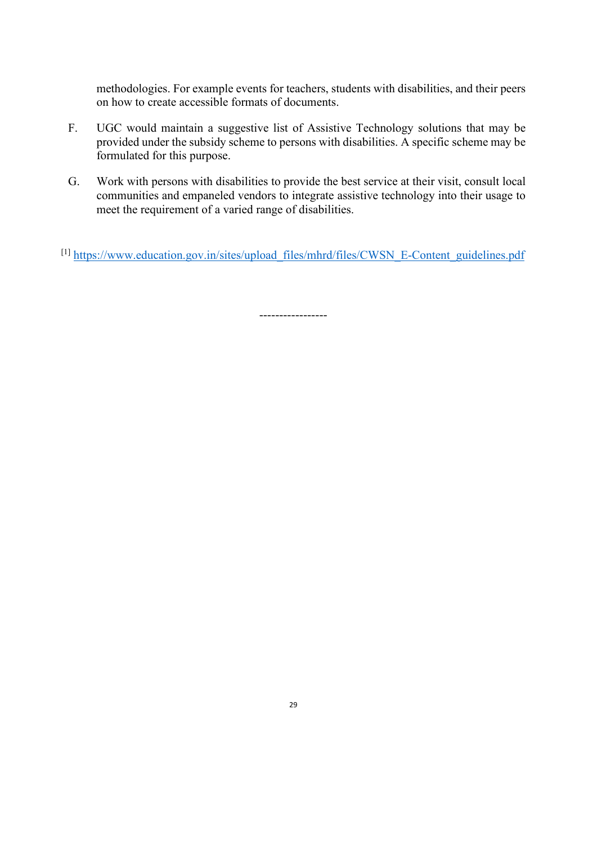methodologies. For example events for teachers, students with disabilities, and their peers on how to create accessible formats of documents.

- F. UGC would maintain a suggestive list of Assistive Technology solutions that may be provided under the subsidy scheme to persons with disabilities. A specific scheme may be formulated for this purpose.
- G. Work with persons with disabilities to provide the best service at their visit, consult local communities and empaneled vendors to integrate assistive technology into their usage to meet the requirement of a varied range of disabilities.
- [1] [https://www.education.gov.in/sites/upload\\_files/mhrd/files/CWSN\\_E-Content\\_guidelines.pdf](https://www.education.gov.in/sites/upload_files/mhrd/files/CWSN_E-Content_guidelines.pdf)

-----------------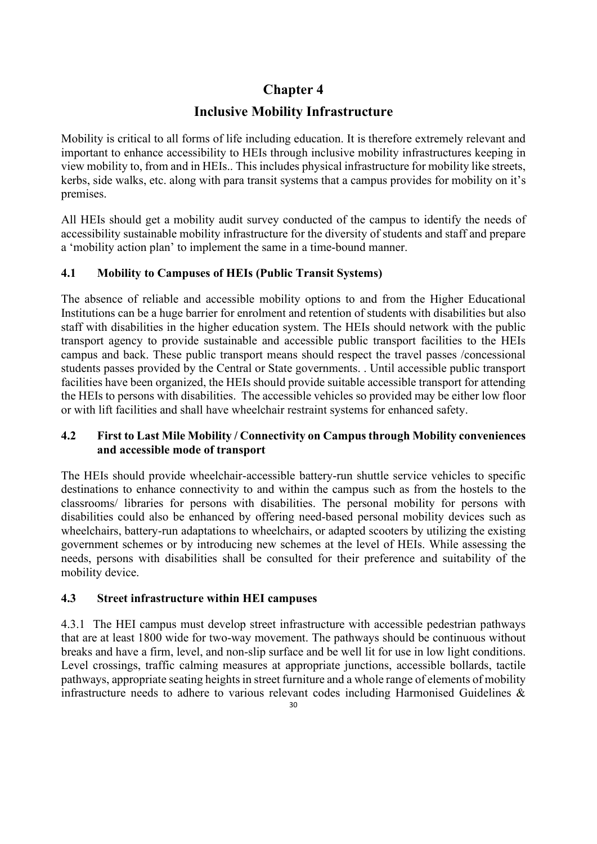# **Chapter 4**

# **Inclusive Mobility Infrastructure**

Mobility is critical to all forms of life including education. It is therefore extremely relevant and important to enhance accessibility to HEIs through inclusive mobility infrastructures keeping in view mobility to, from and in HEIs.. This includes physical infrastructure for mobility like streets, kerbs, side walks, etc. along with para transit systems that a campus provides for mobility on it's premises.

All HEIs should get a mobility audit survey conducted of the campus to identify the needs of accessibility sustainable mobility infrastructure for the diversity of students and staff and prepare a 'mobility action plan' to implement the same in a time-bound manner.

# **4.1 Mobility to Campuses of HEIs (Public Transit Systems)**

The absence of reliable and accessible mobility options to and from the Higher Educational Institutions can be a huge barrier for enrolment and retention of students with disabilities but also staff with disabilities in the higher education system. The HEIs should network with the public transport agency to provide sustainable and accessible public transport facilities to the HEIs campus and back. These public transport means should respect the travel passes /concessional students passes provided by the Central or State governments. . Until accessible public transport facilities have been organized, the HEIs should provide suitable accessible transport for attending the HEIs to persons with disabilities. The accessible vehicles so provided may be either low floor or with lift facilities and shall have wheelchair restraint systems for enhanced safety.

# **4.2 First to Last Mile Mobility / Connectivity on Campus through Mobility conveniences and accessible mode of transport**

The HEIs should provide wheelchair-accessible battery-run shuttle service vehicles to specific destinations to enhance connectivity to and within the campus such as from the hostels to the classrooms/ libraries for persons with disabilities. The personal mobility for persons with disabilities could also be enhanced by offering need-based personal mobility devices such as wheelchairs, battery-run adaptations to wheelchairs, or adapted scooters by utilizing the existing government schemes or by introducing new schemes at the level of HEIs. While assessing the needs, persons with disabilities shall be consulted for their preference and suitability of the mobility device.

# **4.3 Street infrastructure within HEI campuses**

4.3.1 The HEI campus must develop street infrastructure with accessible pedestrian pathways that are at least 1800 wide for two-way movement. The pathways should be continuous without breaks and have a firm, level, and non-slip surface and be well lit for use in low light conditions. Level crossings, traffic calming measures at appropriate junctions, accessible bollards, tactile pathways, appropriate seating heights in street furniture and a whole range of elements of mobility infrastructure needs to adhere to various relevant codes including Harmonised Guidelines &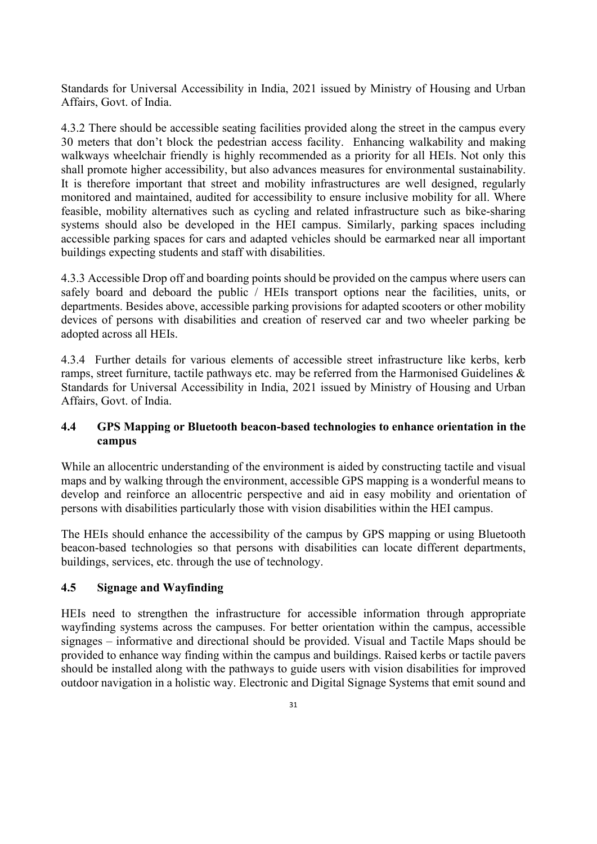Standards for Universal Accessibility in India, 2021 issued by Ministry of Housing and Urban Affairs, Govt. of India.

4.3.2 There should be accessible seating facilities provided along the street in the campus every 30 meters that don't block the pedestrian access facility. Enhancing walkability and making walkways wheelchair friendly is highly recommended as a priority for all HEIs. Not only this shall promote higher accessibility, but also advances measures for environmental sustainability. It is therefore important that street and mobility infrastructures are well designed, regularly monitored and maintained, audited for accessibility to ensure inclusive mobility for all. Where feasible, mobility alternatives such as cycling and related infrastructure such as bike-sharing systems should also be developed in the HEI campus. Similarly, parking spaces including accessible parking spaces for cars and adapted vehicles should be earmarked near all important buildings expecting students and staff with disabilities.

4.3.3 Accessible Drop off and boarding points should be provided on the campus where users can safely board and deboard the public / HEIs transport options near the facilities, units, or departments. Besides above, accessible parking provisions for adapted scooters or other mobility devices of persons with disabilities and creation of reserved car and two wheeler parking be adopted across all HEIs.

4.3.4 Further details for various elements of accessible street infrastructure like kerbs, kerb ramps, street furniture, tactile pathways etc. may be referred from the Harmonised Guidelines & Standards for Universal Accessibility in India, 2021 issued by Ministry of Housing and Urban Affairs, Govt. of India.

### **4.4 GPS Mapping or Bluetooth beacon-based technologies to enhance orientation in the campus**

While an allocentric understanding of the environment is aided by constructing tactile and visual maps and by walking through the environment, accessible GPS mapping is a wonderful means to develop and reinforce an allocentric perspective and aid in easy mobility and orientation of persons with disabilities particularly those with vision disabilities within the HEI campus.

The HEIs should enhance the accessibility of the campus by GPS mapping or using Bluetooth beacon-based technologies so that persons with disabilities can locate different departments, buildings, services, etc. through the use of technology.

### **4.5 Signage and Wayfinding**

HEIs need to strengthen the infrastructure for accessible information through appropriate wayfinding systems across the campuses. For better orientation within the campus, accessible signages – informative and directional should be provided. Visual and Tactile Maps should be provided to enhance way finding within the campus and buildings. Raised kerbs or tactile pavers should be installed along with the pathways to guide users with vision disabilities for improved outdoor navigation in a holistic way. Electronic and Digital Signage Systems that emit sound and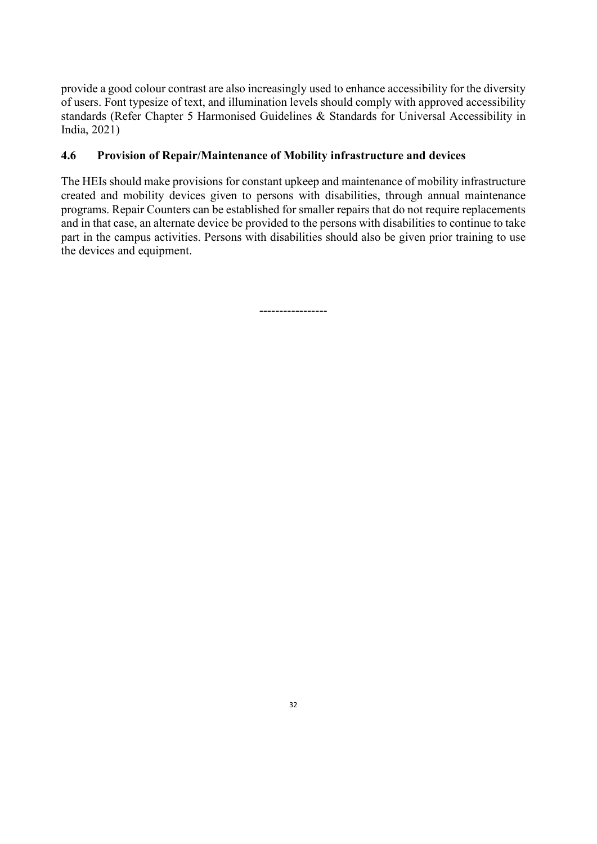provide a good colour contrast are also increasingly used to enhance accessibility for the diversity of users. Font typesize of text, and illumination levels should comply with approved accessibility standards (Refer Chapter 5 Harmonised Guidelines & Standards for Universal Accessibility in India, 2021)

## **4.6 Provision of Repair/Maintenance of Mobility infrastructure and devices**

The HEIs should make provisions for constant upkeep and maintenance of mobility infrastructure created and mobility devices given to persons with disabilities, through annual maintenance programs. Repair Counters can be established for smaller repairs that do not require replacements and in that case, an alternate device be provided to the persons with disabilities to continue to take part in the campus activities. Persons with disabilities should also be given prior training to use the devices and equipment.

-----------------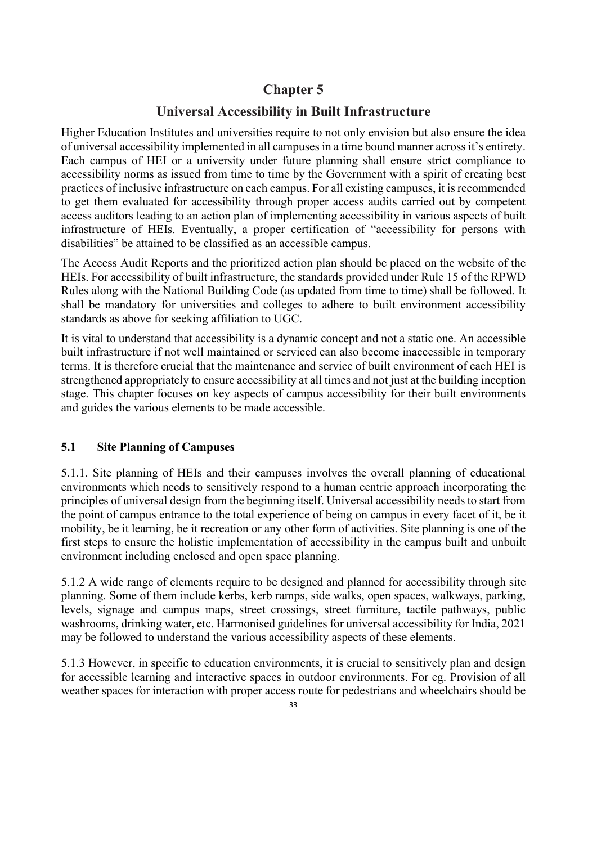# **Chapter 5**

# **Universal Accessibility in Built Infrastructure**

Higher Education Institutes and universities require to not only envision but also ensure the idea of universal accessibility implemented in all campuses in a time bound manner across it's entirety. Each campus of HEI or a university under future planning shall ensure strict compliance to accessibility norms as issued from time to time by the Government with a spirit of creating best practices of inclusive infrastructure on each campus. For all existing campuses, it isrecommended to get them evaluated for accessibility through proper access audits carried out by competent access auditors leading to an action plan of implementing accessibility in various aspects of built infrastructure of HEIs. Eventually, a proper certification of "accessibility for persons with disabilities" be attained to be classified as an accessible campus.

The Access Audit Reports and the prioritized action plan should be placed on the website of the HEIs. For accessibility of built infrastructure, the standards provided under Rule 15 of the RPWD Rules along with the National Building Code (as updated from time to time) shall be followed. It shall be mandatory for universities and colleges to adhere to built environment accessibility standards as above for seeking affiliation to UGC.

It is vital to understand that accessibility is a dynamic concept and not a static one. An accessible built infrastructure if not well maintained or serviced can also become inaccessible in temporary terms. It is therefore crucial that the maintenance and service of built environment of each HEI is strengthened appropriately to ensure accessibility at all times and not just at the building inception stage. This chapter focuses on key aspects of campus accessibility for their built environments and guides the various elements to be made accessible.

### **5.1 Site Planning of Campuses**

5.1.1. Site planning of HEIs and their campuses involves the overall planning of educational environments which needs to sensitively respond to a human centric approach incorporating the principles of universal design from the beginning itself. Universal accessibility needs to start from the point of campus entrance to the total experience of being on campus in every facet of it, be it mobility, be it learning, be it recreation or any other form of activities. Site planning is one of the first steps to ensure the holistic implementation of accessibility in the campus built and unbuilt environment including enclosed and open space planning.

5.1.2 A wide range of elements require to be designed and planned for accessibility through site planning. Some of them include kerbs, kerb ramps, side walks, open spaces, walkways, parking, levels, signage and campus maps, street crossings, street furniture, tactile pathways, public washrooms, drinking water, etc. Harmonised guidelines for universal accessibility for India, 2021 may be followed to understand the various accessibility aspects of these elements.

5.1.3 However, in specific to education environments, it is crucial to sensitively plan and design for accessible learning and interactive spaces in outdoor environments. For eg. Provision of all weather spaces for interaction with proper access route for pedestrians and wheelchairs should be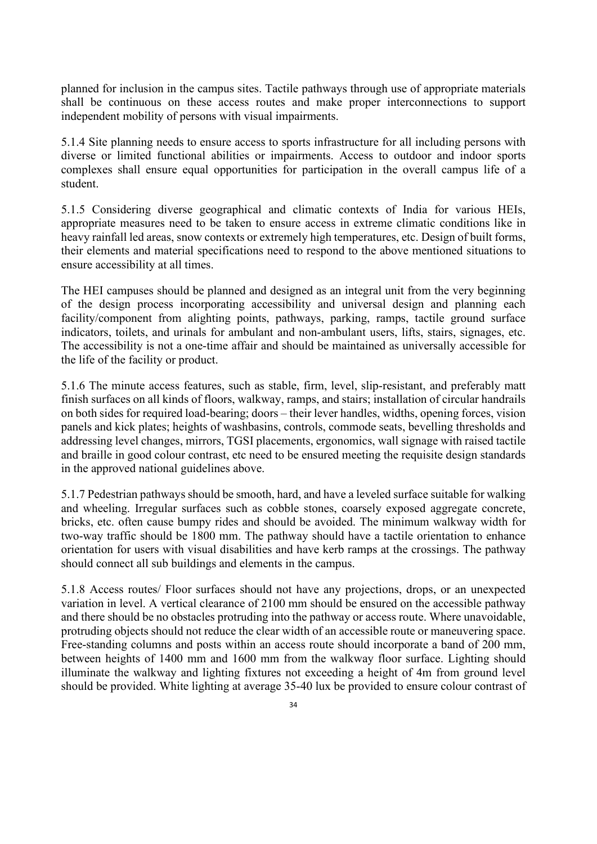planned for inclusion in the campus sites. Tactile pathways through use of appropriate materials shall be continuous on these access routes and make proper interconnections to support independent mobility of persons with visual impairments.

5.1.4 Site planning needs to ensure access to sports infrastructure for all including persons with diverse or limited functional abilities or impairments. Access to outdoor and indoor sports complexes shall ensure equal opportunities for participation in the overall campus life of a student.

5.1.5 Considering diverse geographical and climatic contexts of India for various HEIs, appropriate measures need to be taken to ensure access in extreme climatic conditions like in heavy rainfall led areas, snow contexts or extremely high temperatures, etc. Design of built forms, their elements and material specifications need to respond to the above mentioned situations to ensure accessibility at all times.

The HEI campuses should be planned and designed as an integral unit from the very beginning of the design process incorporating accessibility and universal design and planning each facility/component from alighting points, pathways, parking, ramps, tactile ground surface indicators, toilets, and urinals for ambulant and non-ambulant users, lifts, stairs, signages, etc. The accessibility is not a one-time affair and should be maintained as universally accessible for the life of the facility or product.

5.1.6 The minute access features, such as stable, firm, level, slip-resistant, and preferably matt finish surfaces on all kinds of floors, walkway, ramps, and stairs; installation of circular handrails on both sides for required load-bearing; doors – their lever handles, widths, opening forces, vision panels and kick plates; heights of washbasins, controls, commode seats, bevelling thresholds and addressing level changes, mirrors, TGSI placements, ergonomics, wall signage with raised tactile and braille in good colour contrast, etc need to be ensured meeting the requisite design standards in the approved national guidelines above.

5.1.7 Pedestrian pathways should be smooth, hard, and have a leveled surface suitable for walking and wheeling. Irregular surfaces such as cobble stones, coarsely exposed aggregate concrete, bricks, etc. often cause bumpy rides and should be avoided. The minimum walkway width for two-way traffic should be 1800 mm. The pathway should have a tactile orientation to enhance orientation for users with visual disabilities and have kerb ramps at the crossings. The pathway should connect all sub buildings and elements in the campus.

5.1.8 Access routes/ Floor surfaces should not have any projections, drops, or an unexpected variation in level. A vertical clearance of 2100 mm should be ensured on the accessible pathway and there should be no obstacles protruding into the pathway or access route. Where unavoidable, protruding objects should not reduce the clear width of an accessible route or maneuvering space. Free-standing columns and posts within an access route should incorporate a band of 200 mm, between heights of 1400 mm and 1600 mm from the walkway floor surface. Lighting should illuminate the walkway and lighting fixtures not exceeding a height of 4m from ground level should be provided. White lighting at average 35-40 lux be provided to ensure colour contrast of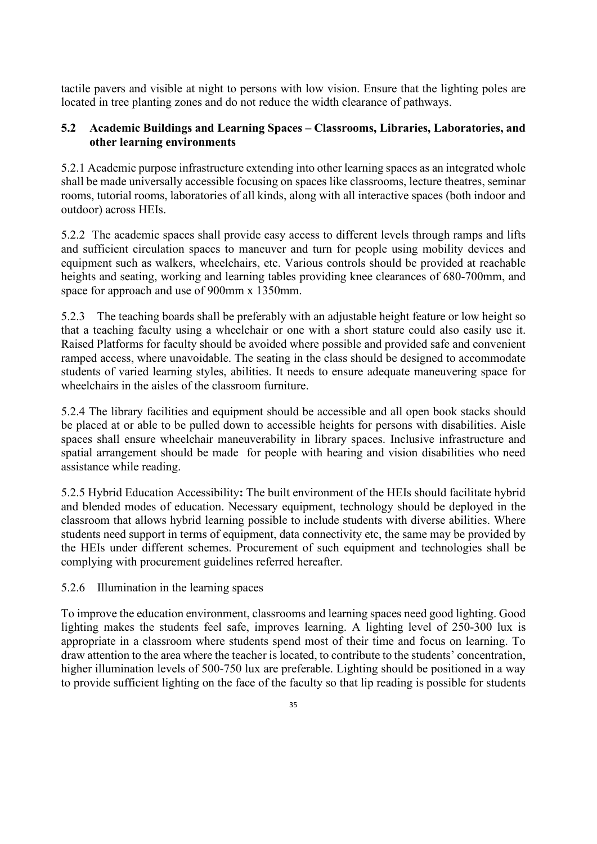tactile pavers and visible at night to persons with low vision. Ensure that the lighting poles are located in tree planting zones and do not reduce the width clearance of pathways.

### **5.2 Academic Buildings and Learning Spaces – Classrooms, Libraries, Laboratories, and other learning environments**

5.2.1 Academic purpose infrastructure extending into other learning spaces as an integrated whole shall be made universally accessible focusing on spaces like classrooms, lecture theatres, seminar rooms, tutorial rooms, laboratories of all kinds, along with all interactive spaces (both indoor and outdoor) across HEIs.

5.2.2 The academic spaces shall provide easy access to different levels through ramps and lifts and sufficient circulation spaces to maneuver and turn for people using mobility devices and equipment such as walkers, wheelchairs, etc. Various controls should be provided at reachable heights and seating, working and learning tables providing knee clearances of 680-700mm, and space for approach and use of 900mm x 1350mm.

5.2.3 The teaching boards shall be preferably with an adjustable height feature or low height so that a teaching faculty using a wheelchair or one with a short stature could also easily use it. Raised Platforms for faculty should be avoided where possible and provided safe and convenient ramped access, where unavoidable. The seating in the class should be designed to accommodate students of varied learning styles, abilities. It needs to ensure adequate maneuvering space for wheelchairs in the aisles of the classroom furniture.

5.2.4 The library facilities and equipment should be accessible and all open book stacks should be placed at or able to be pulled down to accessible heights for persons with disabilities. Aisle spaces shall ensure wheelchair maneuverability in library spaces. Inclusive infrastructure and spatial arrangement should be made for people with hearing and vision disabilities who need assistance while reading.

5.2.5 Hybrid Education Accessibility**:** The built environment of the HEIs should facilitate hybrid and blended modes of education. Necessary equipment, technology should be deployed in the classroom that allows hybrid learning possible to include students with diverse abilities. Where students need support in terms of equipment, data connectivity etc, the same may be provided by the HEIs under different schemes. Procurement of such equipment and technologies shall be complying with procurement guidelines referred hereafter.

5.2.6 Illumination in the learning spaces

To improve the education environment, classrooms and learning spaces need good lighting. Good lighting makes the students feel safe, improves learning. A lighting level of 250-300 lux is appropriate in a classroom where students spend most of their time and focus on learning. To draw attention to the area where the teacher is located, to contribute to the students' concentration, higher illumination levels of 500-750 lux are preferable. Lighting should be positioned in a way to provide sufficient lighting on the face of the faculty so that lip reading is possible for students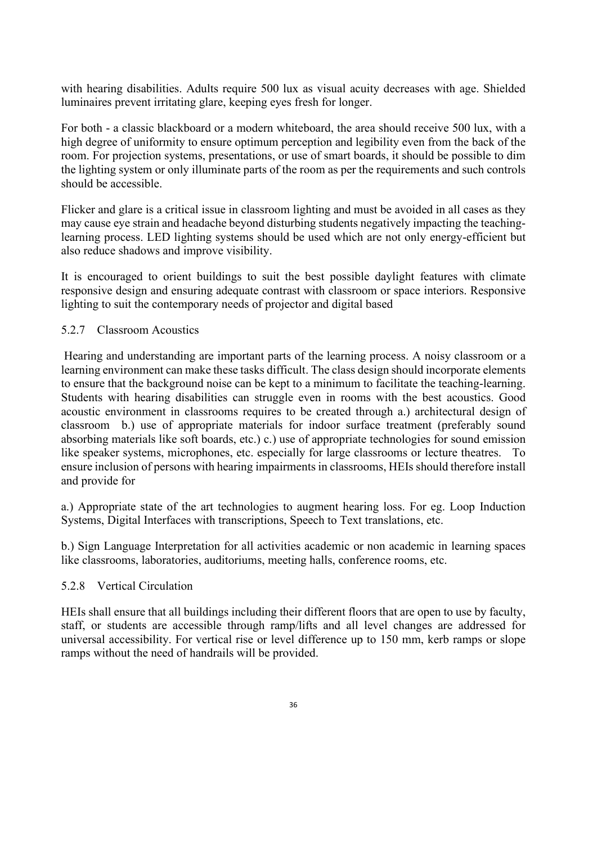with hearing disabilities. Adults require 500 lux as visual acuity decreases with age. Shielded luminaires prevent irritating glare, keeping eyes fresh for longer.

For both - a classic blackboard or a modern whiteboard, the area should receive 500 lux, with a high degree of uniformity to ensure optimum perception and legibility even from the back of the room. For projection systems, presentations, or use of smart boards, it should be possible to dim the lighting system or only illuminate parts of the room as per the requirements and such controls should be accessible.

Flicker and glare is a critical issue in classroom lighting and must be avoided in all cases as they may cause eye strain and headache beyond disturbing students negatively impacting the teachinglearning process. LED lighting systems should be used which are not only energy-efficient but also reduce shadows and improve visibility.

It is encouraged to orient buildings to suit the best possible daylight features with climate responsive design and ensuring adequate contrast with classroom or space interiors. Responsive lighting to suit the contemporary needs of projector and digital based

### 5.2.7 Classroom Acoustics

Hearing and understanding are important parts of the learning process. A noisy classroom or a learning environment can make these tasks difficult. The class design should incorporate elements to ensure that the background noise can be kept to a minimum to facilitate the teaching-learning. Students with hearing disabilities can struggle even in rooms with the best acoustics. Good acoustic environment in classrooms requires to be created through a.) architectural design of classroom b.) use of appropriate materials for indoor surface treatment (preferably sound absorbing materials like soft boards, etc.) c.) use of appropriate technologies for sound emission like speaker systems, microphones, etc. especially for large classrooms or lecture theatres. To ensure inclusion of persons with hearing impairments in classrooms, HEIs should therefore install and provide for

a.) Appropriate state of the art technologies to augment hearing loss. For eg. Loop Induction Systems, Digital Interfaces with transcriptions, Speech to Text translations, etc.

b.) Sign Language Interpretation for all activities academic or non academic in learning spaces like classrooms, laboratories, auditoriums, meeting halls, conference rooms, etc.

### 5.2.8 Vertical Circulation

HEIs shall ensure that all buildings including their different floors that are open to use by faculty, staff, or students are accessible through ramp/lifts and all level changes are addressed for universal accessibility. For vertical rise or level difference up to 150 mm, kerb ramps or slope ramps without the need of handrails will be provided.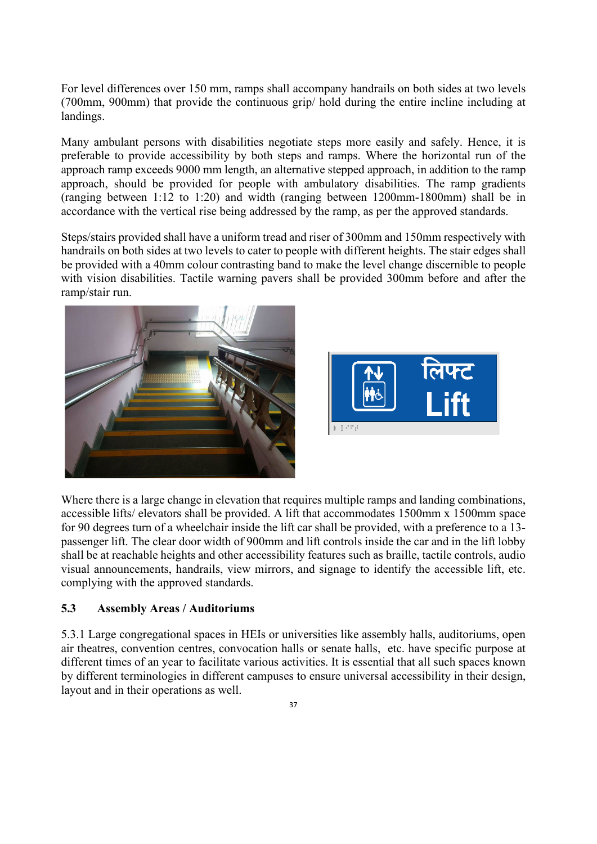For level differences over 150 mm, ramps shall accompany handrails on both sides at two levels (700mm, 900mm) that provide the continuous grip/ hold during the entire incline including at landings.

Many ambulant persons with disabilities negotiate steps more easily and safely. Hence, it is preferable to provide accessibility by both steps and ramps. Where the horizontal run of the approach ramp exceeds 9000 mm length, an alternative stepped approach, in addition to the ramp approach, should be provided for people with ambulatory disabilities. The ramp gradients (ranging between 1:12 to 1:20) and width (ranging between 1200mm-1800mm) shall be in accordance with the vertical rise being addressed by the ramp, as per the approved standards.

Steps/stairs provided shall have a uniform tread and riser of 300mm and 150mm respectively with handrails on both sides at two levels to cater to people with different heights. The stair edges shall be provided with a 40mm colour contrasting band to make the level change discernible to people with vision disabilities. Tactile warning pavers shall be provided 300mm before and after the ramp/stair run.





Where there is a large change in elevation that requires multiple ramps and landing combinations, accessible lifts/ elevators shall be provided. A lift that accommodates 1500mm x 1500mm space for 90 degrees turn of a wheelchair inside the lift car shall be provided, with a preference to a 13 passenger lift. The clear door width of 900mm and lift controls inside the car and in the lift lobby shall be at reachable heights and other accessibility features such as braille, tactile controls, audio visual announcements, handrails, view mirrors, and signage to identify the accessible lift, etc. complying with the approved standards.

### **5.3 Assembly Areas / Auditoriums**

5.3.1 Large congregational spaces in HEIs or universities like assembly halls, auditoriums, open air theatres, convention centres, convocation halls or senate halls, etc. have specific purpose at different times of an year to facilitate various activities. It is essential that all such spaces known by different terminologies in different campuses to ensure universal accessibility in their design, layout and in their operations as well.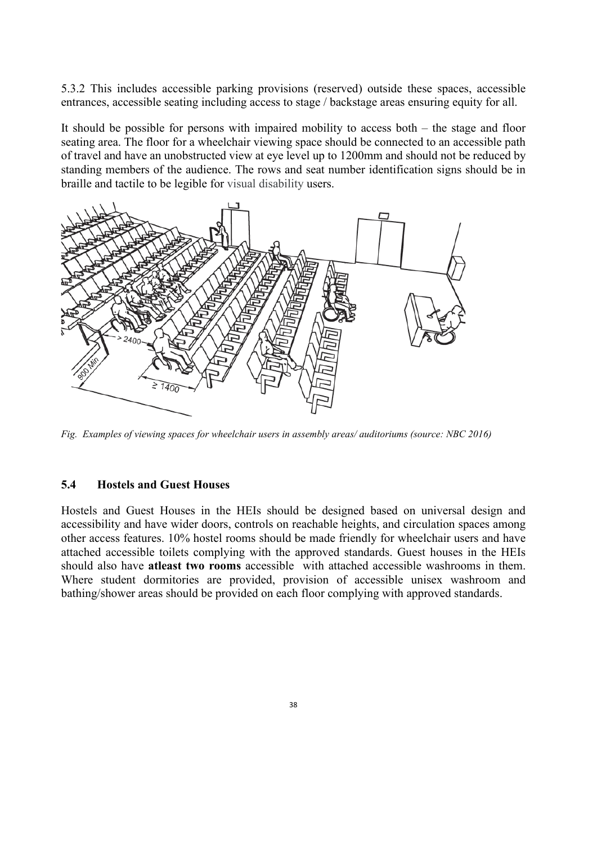5.3.2 This includes accessible parking provisions (reserved) outside these spaces, accessible entrances, accessible seating including access to stage / backstage areas ensuring equity for all.

It should be possible for persons with impaired mobility to access both – the stage and floor seating area. The floor for a wheelchair viewing space should be connected to an accessible path of travel and have an unobstructed view at eye level up to 1200mm and should not be reduced by standing members of the audience. The rows and seat number identification signs should be in braille and tactile to be legible for visual disability users.



*Fig. Examples of viewing spaces for wheelchair users in assembly areas/ auditoriums (source: NBC 2016)*

#### **5.4 Hostels and Guest Houses**

Hostels and Guest Houses in the HEIs should be designed based on universal design and accessibility and have wider doors, controls on reachable heights, and circulation spaces among other access features. 10% hostel rooms should be made friendly for wheelchair users and have attached accessible toilets complying with the approved standards. Guest houses in the HEIs should also have **atleast two rooms** accessible with attached accessible washrooms in them. Where student dormitories are provided, provision of accessible unisex washroom and bathing/shower areas should be provided on each floor complying with approved standards.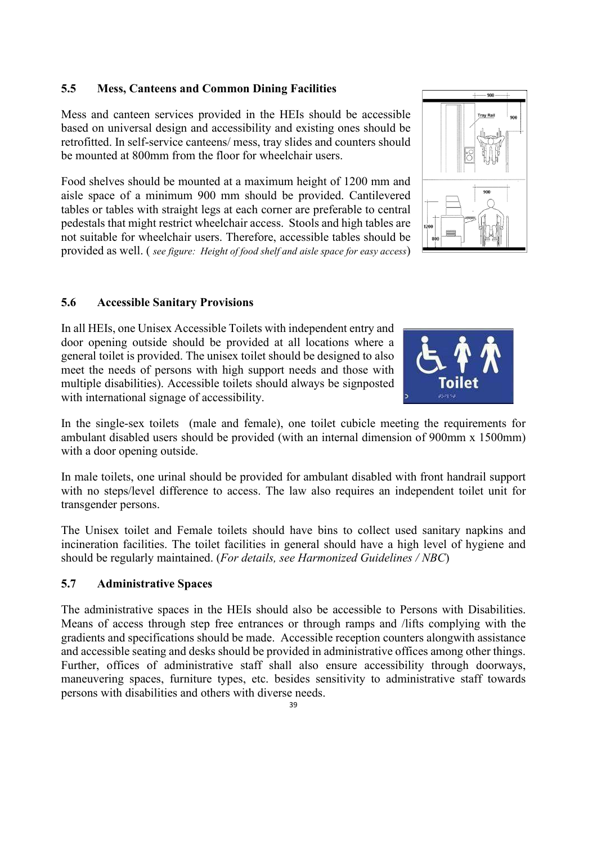### **5.5 Mess, Canteens and Common Dining Facilities**

Mess and canteen services provided in the HEIs should be accessible based on universal design and accessibility and existing ones should be retrofitted. In self-service canteens/ mess, tray slides and counters should be mounted at 800mm from the floor for wheelchair users.

Food shelves should be mounted at a maximum height of 1200 mm and aisle space of a minimum 900 mm should be provided. Cantilevered tables or tables with straight legs at each corner are preferable to central pedestals that might restrict wheelchair access. Stools and high tables are not suitable for wheelchair users. Therefore, accessible tables should be provided as well. ( *see figure: Height of food shelf and aisle space for easy access*)

### **5.6 Accessible Sanitary Provisions**

In all HEIs, one Unisex Accessible Toilets with independent entry and door opening outside should be provided at all locations where a general toilet is provided. The unisex toilet should be designed to also meet the needs of persons with high support needs and those with multiple disabilities). Accessible toilets should always be signposted with international signage of accessibility.

In the single-sex toilets (male and female), one toilet cubicle meeting the requirements for ambulant disabled users should be provided (with an internal dimension of 900mm x 1500mm) with a door opening outside.

In male toilets, one urinal should be provided for ambulant disabled with front handrail support with no steps/level difference to access. The law also requires an independent toilet unit for transgender persons.

The Unisex toilet and Female toilets should have bins to collect used sanitary napkins and incineration facilities. The toilet facilities in general should have a high level of hygiene and should be regularly maintained. (*For details, see Harmonized Guidelines / NBC*)

### **5.7 Administrative Spaces**

The administrative spaces in the HEIs should also be accessible to Persons with Disabilities. Means of access through step free entrances or through ramps and /lifts complying with the gradients and specifications should be made. Accessible reception counters alongwith assistance and accessible seating and desks should be provided in administrative offices among other things. Further, offices of administrative staff shall also ensure accessibility through doorways, maneuvering spaces, furniture types, etc. besides sensitivity to administrative staff towards persons with disabilities and others with diverse needs.



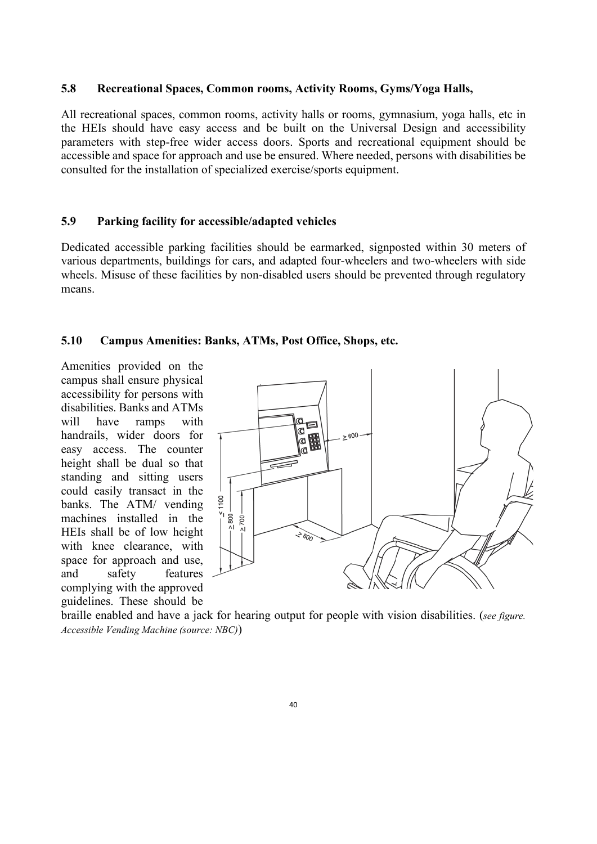#### **5.8 Recreational Spaces, Common rooms, Activity Rooms, Gyms/Yoga Halls,**

All recreational spaces, common rooms, activity halls or rooms, gymnasium, yoga halls, etc in the HEIs should have easy access and be built on the Universal Design and accessibility parameters with step-free wider access doors. Sports and recreational equipment should be accessible and space for approach and use be ensured. Where needed, persons with disabilities be consulted for the installation of specialized exercise/sports equipment.

### **5.9 Parking facility for accessible/adapted vehicles**

Dedicated accessible parking facilities should be earmarked, signposted within 30 meters of various departments, buildings for cars, and adapted four-wheelers and two-wheelers with side wheels. Misuse of these facilities by non-disabled users should be prevented through regulatory means.

#### **5.10 Campus Amenities: Banks, ATMs, Post Office, Shops, etc.**

Amenities provided on the campus shall ensure physical accessibility for persons with disabilities. Banks and ATMs will have ramps with handrails, wider doors for easy access. The counter height shall be dual so that standing and sitting users could easily transact in the banks. The ATM/ vending machines installed in the HEIs shall be of low height with knee clearance, with space for approach and use, and safety features complying with the approved guidelines. These should be



braille enabled and have a jack for hearing output for people with vision disabilities. (*see figure. Accessible Vending Machine (source: NBC)*)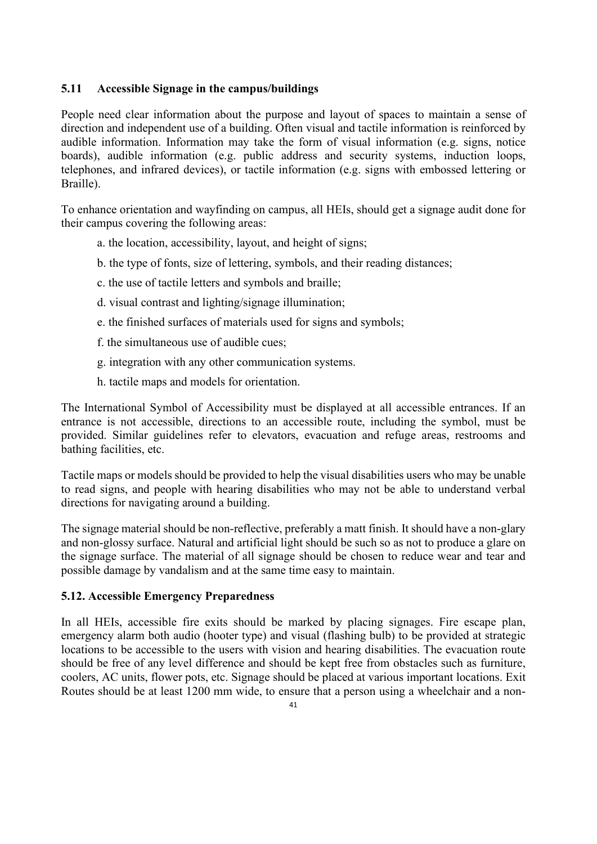### **5.11 Accessible Signage in the campus/buildings**

People need clear information about the purpose and layout of spaces to maintain a sense of direction and independent use of a building. Often visual and tactile information is reinforced by audible information. Information may take the form of visual information (e.g. signs, notice boards), audible information (e.g. public address and security systems, induction loops, telephones, and infrared devices), or tactile information (e.g. signs with embossed lettering or Braille).

To enhance orientation and wayfinding on campus, all HEIs, should get a signage audit done for their campus covering the following areas:

- a. the location, accessibility, layout, and height of signs;
- b. the type of fonts, size of lettering, symbols, and their reading distances;
- c. the use of tactile letters and symbols and braille;
- d. visual contrast and lighting/signage illumination;
- e. the finished surfaces of materials used for signs and symbols;
- f. the simultaneous use of audible cues;
- g. integration with any other communication systems.
- h. tactile maps and models for orientation.

The International Symbol of Accessibility must be displayed at all accessible entrances. If an entrance is not accessible, directions to an accessible route, including the symbol, must be provided. Similar guidelines refer to elevators, evacuation and refuge areas, restrooms and bathing facilities, etc.

Tactile maps or models should be provided to help the visual disabilities users who may be unable to read signs, and people with hearing disabilities who may not be able to understand verbal directions for navigating around a building.

The signage material should be non-reflective, preferably a matt finish. It should have a non-glary and non-glossy surface. Natural and artificial light should be such so as not to produce a glare on the signage surface. The material of all signage should be chosen to reduce wear and tear and possible damage by vandalism and at the same time easy to maintain.

#### **5.12. Accessible Emergency Preparedness**

In all HEIs, accessible fire exits should be marked by placing signages. Fire escape plan, emergency alarm both audio (hooter type) and visual (flashing bulb) to be provided at strategic locations to be accessible to the users with vision and hearing disabilities. The evacuation route should be free of any level difference and should be kept free from obstacles such as furniture, coolers, AC units, flower pots, etc. Signage should be placed at various important locations. Exit Routes should be at least 1200 mm wide, to ensure that a person using a wheelchair and a non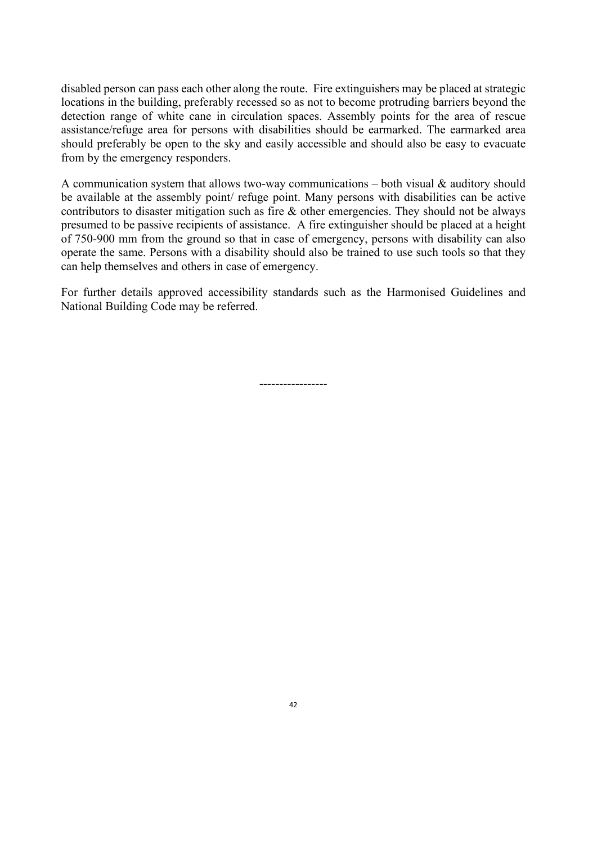disabled person can pass each other along the route. Fire extinguishers may be placed at strategic locations in the building, preferably recessed so as not to become protruding barriers beyond the detection range of white cane in circulation spaces. Assembly points for the area of rescue assistance/refuge area for persons with disabilities should be earmarked. The earmarked area should preferably be open to the sky and easily accessible and should also be easy to evacuate from by the emergency responders.

A communication system that allows two-way communications – both visual  $\&$  auditory should be available at the assembly point/ refuge point. Many persons with disabilities can be active contributors to disaster mitigation such as fire & other emergencies. They should not be always presumed to be passive recipients of assistance. A fire extinguisher should be placed at a height of 750-900 mm from the ground so that in case of emergency, persons with disability can also operate the same. Persons with a disability should also be trained to use such tools so that they can help themselves and others in case of emergency.

For further details approved accessibility standards such as the Harmonised Guidelines and National Building Code may be referred.

-----------------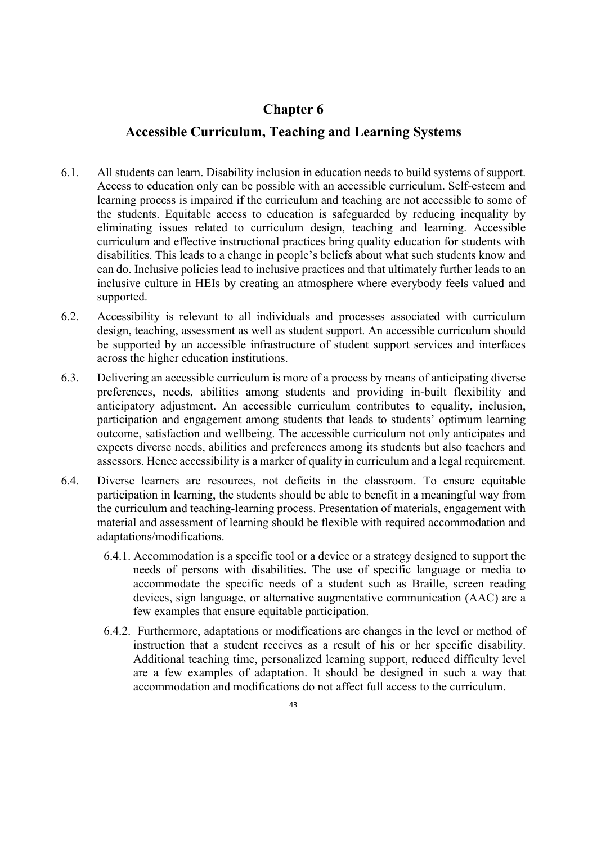## **Chapter 6**

## **Accessible Curriculum, Teaching and Learning Systems**

- 6.1. All students can learn. Disability inclusion in education needs to build systems of support. Access to education only can be possible with an accessible curriculum. Self-esteem and learning process is impaired if the curriculum and teaching are not accessible to some of the students. Equitable access to education is safeguarded by reducing inequality by eliminating issues related to curriculum design, teaching and learning. Accessible curriculum and effective instructional practices bring quality education for students with disabilities. This leads to a change in people's beliefs about what such students know and can do. Inclusive policies lead to inclusive practices and that ultimately further leads to an inclusive culture in HEIs by creating an atmosphere where everybody feels valued and supported.
- 6.2. Accessibility is relevant to all individuals and processes associated with curriculum design, teaching, assessment as well as student support. An accessible curriculum should be supported by an accessible infrastructure of student support services and interfaces across the higher education institutions.
- 6.3. Delivering an accessible curriculum is more of a process by means of anticipating diverse preferences, needs, abilities among students and providing in-built flexibility and anticipatory adjustment. An accessible curriculum contributes to equality, inclusion, participation and engagement among students that leads to students' optimum learning outcome, satisfaction and wellbeing. The accessible curriculum not only anticipates and expects diverse needs, abilities and preferences among its students but also teachers and assessors. Hence accessibility is a marker of quality in curriculum and a legal requirement.
- 6.4. Diverse learners are resources, not deficits in the classroom. To ensure equitable participation in learning, the students should be able to benefit in a meaningful way from the curriculum and teaching-learning process. Presentation of materials, engagement with material and assessment of learning should be flexible with required accommodation and adaptations/modifications.
	- 6.4.1. Accommodation is a specific tool or a device or a strategy designed to support the needs of persons with disabilities. The use of specific language or media to accommodate the specific needs of a student such as Braille, screen reading devices, sign language, or alternative augmentative communication (AAC) are a few examples that ensure equitable participation.
	- 6.4.2. Furthermore, adaptations or modifications are changes in the level or method of instruction that a student receives as a result of his or her specific disability. Additional teaching time, personalized learning support, reduced difficulty level are a few examples of adaptation. It should be designed in such a way that accommodation and modifications do not affect full access to the curriculum.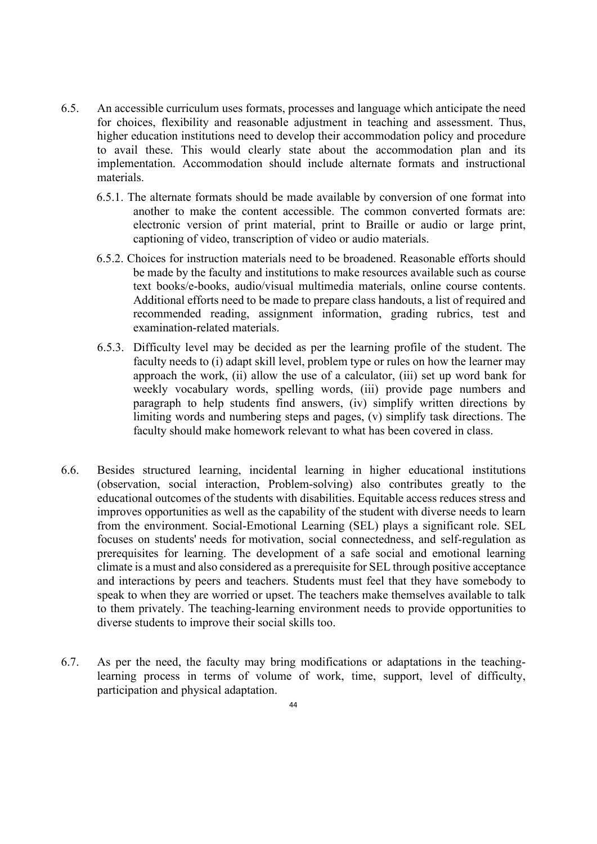- 6.5. An accessible curriculum uses formats, processes and language which anticipate the need for choices, flexibility and reasonable adjustment in teaching and assessment. Thus, higher education institutions need to develop their accommodation policy and procedure to avail these. This would clearly state about the accommodation plan and its implementation. Accommodation should include alternate formats and instructional materials.
	- 6.5.1. The alternate formats should be made available by conversion of one format into another to make the content accessible. The common converted formats are: electronic version of print material, print to Braille or audio or large print, captioning of video, transcription of video or audio materials.
	- 6.5.2. Choices for instruction materials need to be broadened. Reasonable efforts should be made by the faculty and institutions to make resources available such as course text books/e-books, audio/visual multimedia materials, online course contents. Additional efforts need to be made to prepare class handouts, a list of required and recommended reading, assignment information, grading rubrics, test and examination-related materials.
	- 6.5.3. Difficulty level may be decided as per the learning profile of the student. The faculty needs to (i) adapt skill level, problem type or rules on how the learner may approach the work, (ii) allow the use of a calculator, (iii) set up word bank for weekly vocabulary words, spelling words, (iii) provide page numbers and paragraph to help students find answers, (iv) simplify written directions by limiting words and numbering steps and pages, (v) simplify task directions. The faculty should make homework relevant to what has been covered in class.
- 6.6. Besides structured learning, incidental learning in higher educational institutions (observation, social interaction, Problem-solving) also contributes greatly to the educational outcomes of the students with disabilities. Equitable access reduces stress and improves opportunities as well as the capability of the student with diverse needs to learn from the environment. Social-Emotional Learning (SEL) plays a significant role. SEL focuses on students' needs for motivation, social connectedness, and self-regulation as prerequisites for learning. The development of a safe social and emotional learning climate is a must and also considered as a prerequisite for SEL through positive acceptance and interactions by peers and teachers. Students must feel that they have somebody to speak to when they are worried or upset. The teachers make themselves available to talk to them privately. The teaching-learning environment needs to provide opportunities to diverse students to improve their social skills too.
- 6.7. As per the need, the faculty may bring modifications or adaptations in the teachinglearning process in terms of volume of work, time, support, level of difficulty, participation and physical adaptation.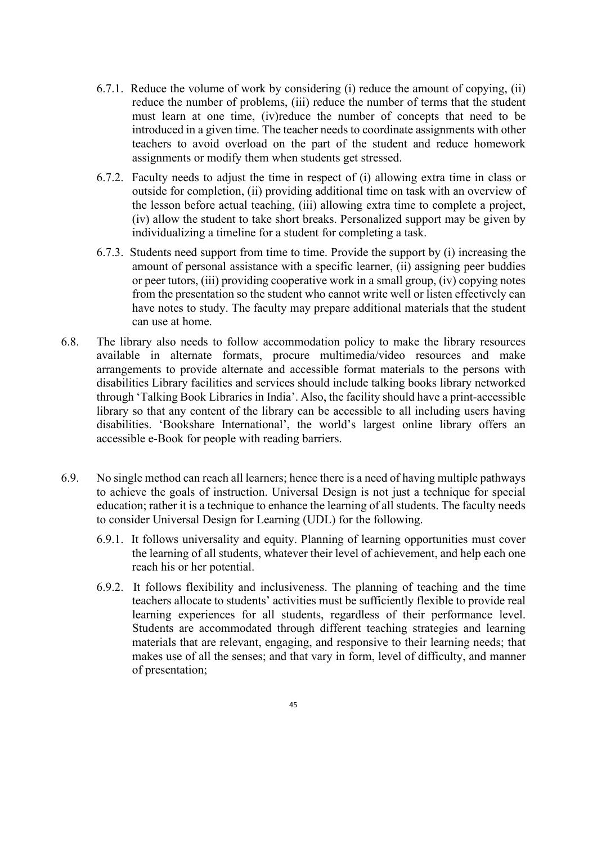- 6.7.1. Reduce the volume of work by considering (i) reduce the amount of copying, (ii) reduce the number of problems, (iii) reduce the number of terms that the student must learn at one time, (iv)reduce the number of concepts that need to be introduced in a given time. The teacher needs to coordinate assignments with other teachers to avoid overload on the part of the student and reduce homework assignments or modify them when students get stressed.
- 6.7.2. Faculty needs to adjust the time in respect of (i) allowing extra time in class or outside for completion, (ii) providing additional time on task with an overview of the lesson before actual teaching, (iii) allowing extra time to complete a project, (iv) allow the student to take short breaks. Personalized support may be given by individualizing a timeline for a student for completing a task.
- 6.7.3. Students need support from time to time. Provide the support by (i) increasing the amount of personal assistance with a specific learner, (ii) assigning peer buddies or peer tutors, (iii) providing cooperative work in a small group, (iv) copying notes from the presentation so the student who cannot write well or listen effectively can have notes to study. The faculty may prepare additional materials that the student can use at home.
- 6.8. The library also needs to follow accommodation policy to make the library resources available in alternate formats, procure multimedia/video resources and make arrangements to provide alternate and accessible format materials to the persons with disabilities Library facilities and services should include talking books library networked through 'Talking Book Libraries in India'. Also, the facility should have a print-accessible library so that any content of the library can be accessible to all including users having disabilities. 'Bookshare International', the world's largest online library offers an accessible e-Book for people with reading barriers.
- 6.9. No single method can reach all learners; hence there is a need of having multiple pathways to achieve the goals of instruction. Universal Design is not just a technique for special education; rather it is a technique to enhance the learning of all students. The faculty needs to consider Universal Design for Learning (UDL) for the following.
	- 6.9.1. It follows universality and equity. Planning of learning opportunities must cover the learning of all students, whatever their level of achievement, and help each one reach his or her potential.
	- 6.9.2. It follows flexibility and inclusiveness. The planning of teaching and the time teachers allocate to students' activities must be sufficiently flexible to provide real learning experiences for all students, regardless of their performance level. Students are accommodated through different teaching strategies and learning materials that are relevant, engaging, and responsive to their learning needs; that makes use of all the senses; and that vary in form, level of difficulty, and manner of presentation;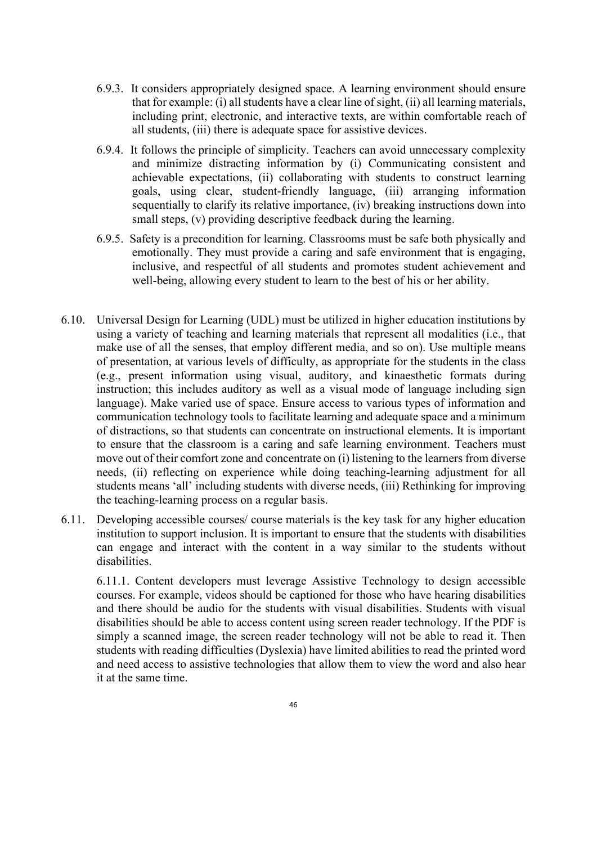- 6.9.3. It considers appropriately designed space. A learning environment should ensure that for example: (i) all students have a clear line of sight, (ii) all learning materials, including print, electronic, and interactive texts, are within comfortable reach of all students, (iii) there is adequate space for assistive devices.
- 6.9.4. It follows the principle of simplicity. Teachers can avoid unnecessary complexity and minimize distracting information by (i) Communicating consistent and achievable expectations, (ii) collaborating with students to construct learning goals, using clear, student-friendly language, (iii) arranging information sequentially to clarify its relative importance, (iv) breaking instructions down into small steps, (v) providing descriptive feedback during the learning.
- 6.9.5. Safety is a precondition for learning. Classrooms must be safe both physically and emotionally. They must provide a caring and safe environment that is engaging, inclusive, and respectful of all students and promotes student achievement and well-being, allowing every student to learn to the best of his or her ability.
- 6.10. Universal Design for Learning (UDL) must be utilized in higher education institutions by using a variety of teaching and learning materials that represent all modalities (i.e., that make use of all the senses, that employ different media, and so on). Use multiple means of presentation, at various levels of difficulty, as appropriate for the students in the class (e.g., present information using visual, auditory, and kinaesthetic formats during instruction; this includes auditory as well as a visual mode of language including sign language). Make varied use of space. Ensure access to various types of information and communication technology tools to facilitate learning and adequate space and a minimum of distractions, so that students can concentrate on instructional elements. It is important to ensure that the classroom is a caring and safe learning environment. Teachers must move out of their comfort zone and concentrate on (i) listening to the learners from diverse needs, (ii) reflecting on experience while doing teaching-learning adjustment for all students means 'all' including students with diverse needs, (iii) Rethinking for improving the teaching-learning process on a regular basis.
- 6.11. Developing accessible courses/ course materials is the key task for any higher education institution to support inclusion. It is important to ensure that the students with disabilities can engage and interact with the content in a way similar to the students without disabilities.

6.11.1. Content developers must leverage Assistive Technology to design accessible courses. For example, videos should be captioned for those who have hearing disabilities and there should be audio for the students with visual disabilities. Students with visual disabilities should be able to access content using screen reader technology. If the PDF is simply a scanned image, the screen reader technology will not be able to read it. Then students with reading difficulties (Dyslexia) have limited abilities to read the printed word and need access to assistive technologies that allow them to view the word and also hear it at the same time.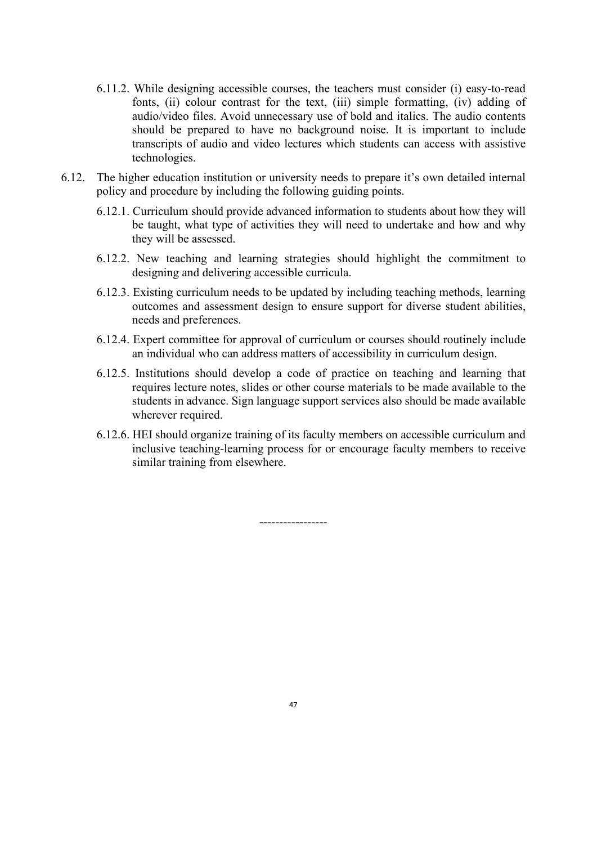- 6.11.2. While designing accessible courses, the teachers must consider (i) easy-to-read fonts, (ii) colour contrast for the text, (iii) simple formatting, (iv) adding of audio/video files. Avoid unnecessary use of bold and italics. The audio contents should be prepared to have no background noise. It is important to include transcripts of audio and video lectures which students can access with assistive technologies.
- 6.12. The higher education institution or university needs to prepare it's own detailed internal policy and procedure by including the following guiding points.
	- 6.12.1. Curriculum should provide advanced information to students about how they will be taught, what type of activities they will need to undertake and how and why they will be assessed.
	- 6.12.2. New teaching and learning strategies should highlight the commitment to designing and delivering accessible curricula.
	- 6.12.3. Existing curriculum needs to be updated by including teaching methods, learning outcomes and assessment design to ensure support for diverse student abilities, needs and preferences.
	- 6.12.4. Expert committee for approval of curriculum or courses should routinely include an individual who can address matters of accessibility in curriculum design.
	- 6.12.5. Institutions should develop a code of practice on teaching and learning that requires lecture notes, slides or other course materials to be made available to the students in advance. Sign language support services also should be made available wherever required.
	- 6.12.6. HEI should organize training of its faculty members on accessible curriculum and inclusive teaching-learning process for or encourage faculty members to receive similar training from elsewhere.

-----------------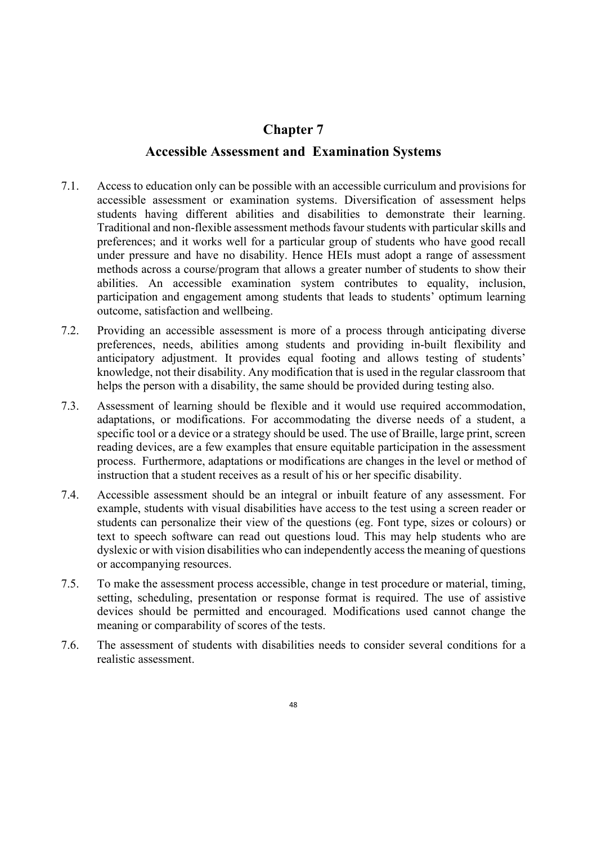## **Chapter 7**

### **Accessible Assessment and Examination Systems**

- 7.1. Access to education only can be possible with an accessible curriculum and provisions for accessible assessment or examination systems. Diversification of assessment helps students having different abilities and disabilities to demonstrate their learning. Traditional and non-flexible assessment methods favour students with particular skills and preferences; and it works well for a particular group of students who have good recall under pressure and have no disability. Hence HEIs must adopt a range of assessment methods across a course/program that allows a greater number of students to show their abilities. An accessible examination system contributes to equality, inclusion, participation and engagement among students that leads to students' optimum learning outcome, satisfaction and wellbeing.
- 7.2. Providing an accessible assessment is more of a process through anticipating diverse preferences, needs, abilities among students and providing in-built flexibility and anticipatory adjustment. It provides equal footing and allows testing of students' knowledge, not their disability. Any modification that is used in the regular classroom that helps the person with a disability, the same should be provided during testing also.
- 7.3. Assessment of learning should be flexible and it would use required accommodation, adaptations, or modifications. For accommodating the diverse needs of a student, a specific tool or a device or a strategy should be used. The use of Braille, large print, screen reading devices, are a few examples that ensure equitable participation in the assessment process. Furthermore, adaptations or modifications are changes in the level or method of instruction that a student receives as a result of his or her specific disability.
- 7.4. Accessible assessment should be an integral or inbuilt feature of any assessment. For example, students with visual disabilities have access to the test using a screen reader or students can personalize their view of the questions (eg. Font type, sizes or colours) or text to speech software can read out questions loud. This may help students who are dyslexic or with vision disabilities who can independently access the meaning of questions or accompanying resources.
- 7.5. To make the assessment process accessible, change in test procedure or material, timing, setting, scheduling, presentation or response format is required. The use of assistive devices should be permitted and encouraged. Modifications used cannot change the meaning or comparability of scores of the tests.
- 7.6. The assessment of students with disabilities needs to consider several conditions for a realistic assessment.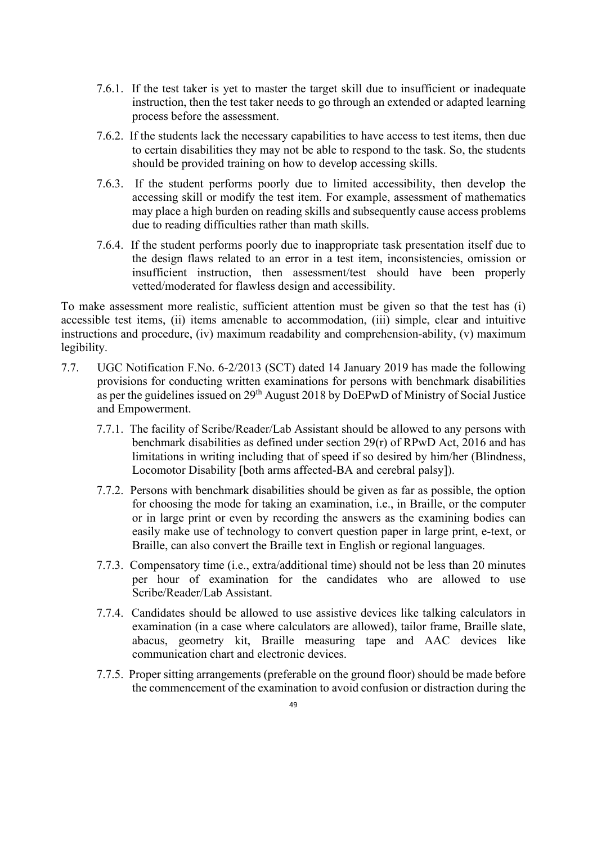- 7.6.1. If the test taker is yet to master the target skill due to insufficient or inadequate instruction, then the test taker needs to go through an extended or adapted learning process before the assessment.
- 7.6.2. If the students lack the necessary capabilities to have access to test items, then due to certain disabilities they may not be able to respond to the task. So, the students should be provided training on how to develop accessing skills.
- 7.6.3. If the student performs poorly due to limited accessibility, then develop the accessing skill or modify the test item. For example, assessment of mathematics may place a high burden on reading skills and subsequently cause access problems due to reading difficulties rather than math skills.
- 7.6.4. If the student performs poorly due to inappropriate task presentation itself due to the design flaws related to an error in a test item, inconsistencies, omission or insufficient instruction, then assessment/test should have been properly vetted/moderated for flawless design and accessibility.

To make assessment more realistic, sufficient attention must be given so that the test has (i) accessible test items, (ii) items amenable to accommodation, (iii) simple, clear and intuitive instructions and procedure, (iv) maximum readability and comprehension-ability, (v) maximum legibility.

- 7.7. UGC Notification F.No. 6-2/2013 (SCT) dated 14 January 2019 has made the following provisions for conducting written examinations for persons with benchmark disabilities as per the guidelines issued on 29<sup>th</sup> August 2018 by DoEPwD of Ministry of Social Justice and Empowerment.
	- 7.7.1. The facility of Scribe/Reader/Lab Assistant should be allowed to any persons with benchmark disabilities as defined under section 29(r) of RPwD Act, 2016 and has limitations in writing including that of speed if so desired by him/her (Blindness, Locomotor Disability [both arms affected-BA and cerebral palsy]).
	- 7.7.2. Persons with benchmark disabilities should be given as far as possible, the option for choosing the mode for taking an examination, i.e., in Braille, or the computer or in large print or even by recording the answers as the examining bodies can easily make use of technology to convert question paper in large print, e-text, or Braille, can also convert the Braille text in English or regional languages.
	- 7.7.3. Compensatory time (i.e., extra/additional time) should not be less than 20 minutes per hour of examination for the candidates who are allowed to use Scribe/Reader/Lab Assistant.
	- 7.7.4. Candidates should be allowed to use assistive devices like talking calculators in examination (in a case where calculators are allowed), tailor frame, Braille slate, abacus, geometry kit, Braille measuring tape and AAC devices like communication chart and electronic devices.
	- 7.7.5. Proper sitting arrangements (preferable on the ground floor) should be made before the commencement of the examination to avoid confusion or distraction during the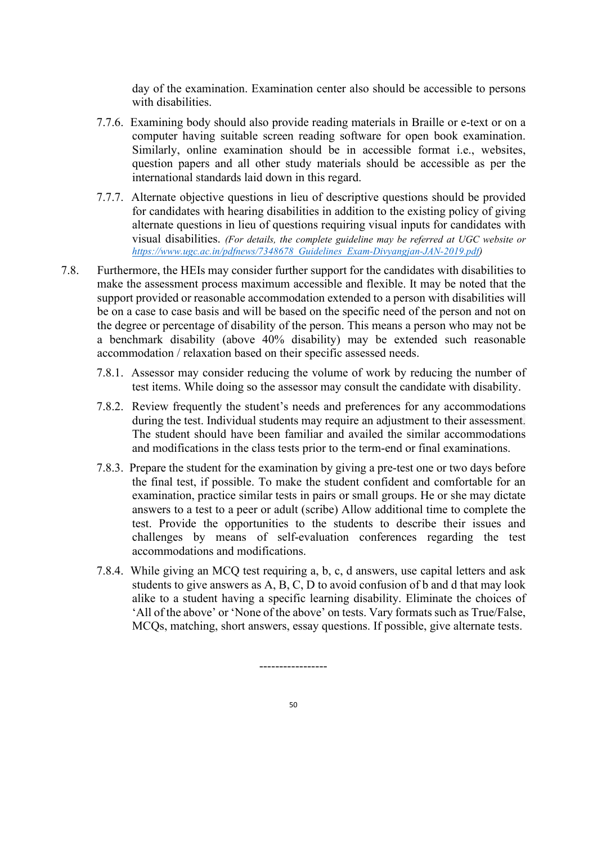day of the examination. Examination center also should be accessible to persons with disabilities.

- 7.7.6. Examining body should also provide reading materials in Braille or e-text or on a computer having suitable screen reading software for open book examination. Similarly, online examination should be in accessible format i.e., websites, question papers and all other study materials should be accessible as per the international standards laid down in this regard.
- 7.7.7. Alternate objective questions in lieu of descriptive questions should be provided for candidates with hearing disabilities in addition to the existing policy of giving alternate questions in lieu of questions requiring visual inputs for candidates with visual disabilities. *(For details, the complete guideline may be referred at UGC website or [https://www.ugc.ac.in/pdfnews/7348678\\_Guidelines\\_Exam-Divyangjan-JAN-2019.pdf\)](https://www.ugc.ac.in/pdfnews/7348678_Guidelines_Exam-Divyangjan-JAN-2019.pdf)*
- 7.8. Furthermore, the HEIs may consider further support for the candidates with disabilities to make the assessment process maximum accessible and flexible. It may be noted that the support provided or reasonable accommodation extended to a person with disabilities will be on a case to case basis and will be based on the specific need of the person and not on the degree or percentage of disability of the person. This means a person who may not be a benchmark disability (above 40% disability) may be extended such reasonable accommodation / relaxation based on their specific assessed needs.
	- 7.8.1. Assessor may consider reducing the volume of work by reducing the number of test items. While doing so the assessor may consult the candidate with disability.
	- 7.8.2. Review frequently the student's needs and preferences for any accommodations during the test. Individual students may require an adjustment to their assessment. The student should have been familiar and availed the similar accommodations and modifications in the class tests prior to the term-end or final examinations.
	- 7.8.3. Prepare the student for the examination by giving a pre-test one or two days before the final test, if possible. To make the student confident and comfortable for an examination, practice similar tests in pairs or small groups. He or she may dictate answers to a test to a peer or adult (scribe) Allow additional time to complete the test. Provide the opportunities to the students to describe their issues and challenges by means of self-evaluation conferences regarding the test accommodations and modifications.
	- 7.8.4. While giving an MCQ test requiring a, b, c, d answers, use capital letters and ask students to give answers as A, B, C, D to avoid confusion of b and d that may look alike to a student having a specific learning disability. Eliminate the choices of 'All of the above' or 'None of the above' on tests. Vary formats such as True/False, MCQs, matching, short answers, essay questions. If possible, give alternate tests.

-----------------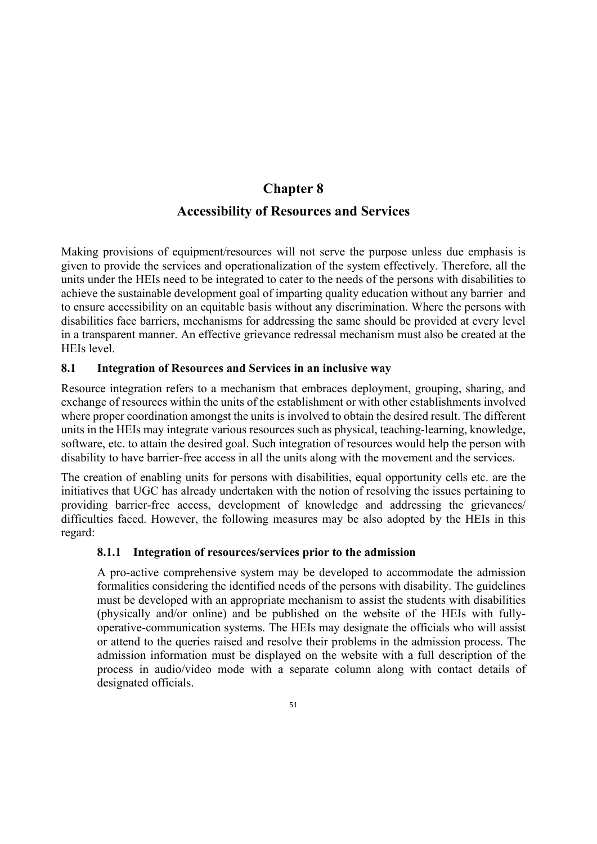# **Chapter 8 Accessibility of Resources and Services**

Making provisions of equipment/resources will not serve the purpose unless due emphasis is given to provide the services and operationalization of the system effectively. Therefore, all the units under the HEIs need to be integrated to cater to the needs of the persons with disabilities to achieve the sustainable development goal of imparting quality education without any barrier and to ensure accessibility on an equitable basis without any discrimination. Where the persons with disabilities face barriers, mechanisms for addressing the same should be provided at every level in a transparent manner. An effective grievance redressal mechanism must also be created at the HEIs level.

## **8.1 Integration of Resources and Services in an inclusive way**

Resource integration refers to a mechanism that embraces deployment, grouping, sharing, and exchange of resources within the units of the establishment or with other establishments involved where proper coordination amongst the units is involved to obtain the desired result. The different units in the HEIs may integrate various resources such as physical, teaching-learning, knowledge, software, etc. to attain the desired goal. Such integration of resources would help the person with disability to have barrier-free access in all the units along with the movement and the services.

The creation of enabling units for persons with disabilities, equal opportunity cells etc. are the initiatives that UGC has already undertaken with the notion of resolving the issues pertaining to providing barrier-free access, development of knowledge and addressing the grievances/ difficulties faced. However, the following measures may be also adopted by the HEIs in this regard:

## **8.1.1 Integration of resources/services prior to the admission**

A pro-active comprehensive system may be developed to accommodate the admission formalities considering the identified needs of the persons with disability. The guidelines must be developed with an appropriate mechanism to assist the students with disabilities (physically and/or online) and be published on the website of the HEIs with fullyoperative-communication systems. The HEIs may designate the officials who will assist or attend to the queries raised and resolve their problems in the admission process. The admission information must be displayed on the website with a full description of the process in audio/video mode with a separate column along with contact details of designated officials.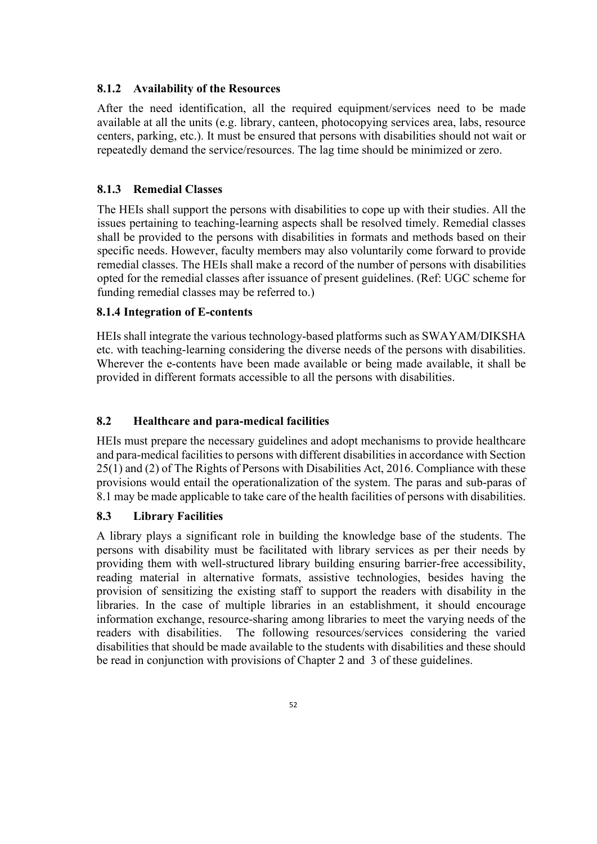### **8.1.2 Availability of the Resources**

After the need identification, all the required equipment/services need to be made available at all the units (e.g. library, canteen, photocopying services area, labs, resource centers, parking, etc.). It must be ensured that persons with disabilities should not wait or repeatedly demand the service/resources. The lag time should be minimized or zero.

## **8.1.3 Remedial Classes**

The HEIs shall support the persons with disabilities to cope up with their studies. All the issues pertaining to teaching-learning aspects shall be resolved timely. Remedial classes shall be provided to the persons with disabilities in formats and methods based on their specific needs. However, faculty members may also voluntarily come forward to provide remedial classes. The HEIs shall make a record of the number of persons with disabilities opted for the remedial classes after issuance of present guidelines. (Ref: UGC scheme for funding remedial classes may be referred to.)

### **8.1.4 Integration of E-contents**

HEIs shall integrate the various technology-based platforms such as SWAYAM/DIKSHA etc. with teaching-learning considering the diverse needs of the persons with disabilities. Wherever the e-contents have been made available or being made available, it shall be provided in different formats accessible to all the persons with disabilities.

### **8.2 Healthcare and para-medical facilities**

HEIs must prepare the necessary guidelines and adopt mechanisms to provide healthcare and para-medical facilities to persons with different disabilities in accordance with Section 25(1) and (2) of The Rights of Persons with Disabilities Act, 2016. Compliance with these provisions would entail the operationalization of the system. The paras and sub-paras of 8.1 may be made applicable to take care of the health facilities of persons with disabilities.

### **8.3 Library Facilities**

A library plays a significant role in building the knowledge base of the students. The persons with disability must be facilitated with library services as per their needs by providing them with well-structured library building ensuring barrier-free accessibility, reading material in alternative formats, assistive technologies, besides having the provision of sensitizing the existing staff to support the readers with disability in the libraries. In the case of multiple libraries in an establishment, it should encourage information exchange, resource-sharing among libraries to meet the varying needs of the readers with disabilities. The following resources/services considering the varied disabilities that should be made available to the students with disabilities and these should be read in conjunction with provisions of Chapter 2 and 3 of these guidelines.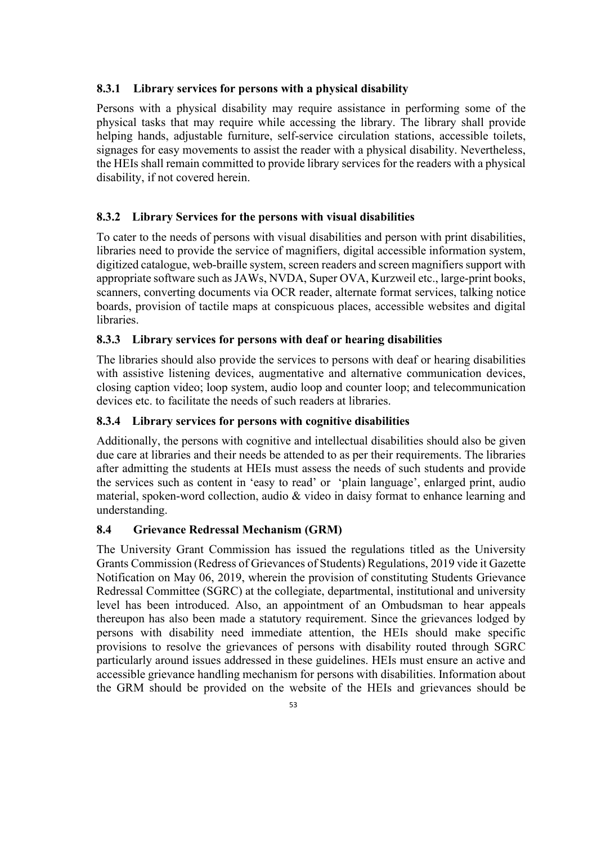### **8.3.1 Library services for persons with a physical disability**

Persons with a physical disability may require assistance in performing some of the physical tasks that may require while accessing the library. The library shall provide helping hands, adjustable furniture, self-service circulation stations, accessible toilets, signages for easy movements to assist the reader with a physical disability. Nevertheless, the HEIs shall remain committed to provide library services for the readers with a physical disability, if not covered herein.

## **8.3.2 Library Services for the persons with visual disabilities**

To cater to the needs of persons with visual disabilities and person with print disabilities, libraries need to provide the service of magnifiers, digital accessible information system, digitized catalogue, web-braille system, screen readers and screen magnifiers support with appropriate software such as JAWs, NVDA, Super OVA, Kurzweil etc., large-print books, scanners, converting documents via OCR reader, alternate format services, talking notice boards, provision of tactile maps at conspicuous places, accessible websites and digital libraries.

### **8.3.3 Library services for persons with deaf or hearing disabilities**

The libraries should also provide the services to persons with deaf or hearing disabilities with assistive listening devices, augmentative and alternative communication devices, closing caption video; loop system, audio loop and counter loop; and telecommunication devices etc. to facilitate the needs of such readers at libraries.

### **8.3.4 Library services for persons with cognitive disabilities**

Additionally, the persons with cognitive and intellectual disabilities should also be given due care at libraries and their needs be attended to as per their requirements. The libraries after admitting the students at HEIs must assess the needs of such students and provide the services such as content in 'easy to read' or 'plain language', enlarged print, audio material, spoken-word collection, audio & video in daisy format to enhance learning and understanding.

### **8.4 Grievance Redressal Mechanism (GRM)**

The University Grant Commission has issued the regulations titled as the University Grants Commission (Redress of Grievances of Students) Regulations, 2019 vide it Gazette Notification on May 06, 2019, wherein the provision of constituting Students Grievance Redressal Committee (SGRC) at the collegiate, departmental, institutional and university level has been introduced. Also, an appointment of an Ombudsman to hear appeals thereupon has also been made a statutory requirement. Since the grievances lodged by persons with disability need immediate attention, the HEIs should make specific provisions to resolve the grievances of persons with disability routed through SGRC particularly around issues addressed in these guidelines. HEIs must ensure an active and accessible grievance handling mechanism for persons with disabilities. Information about the GRM should be provided on the website of the HEIs and grievances should be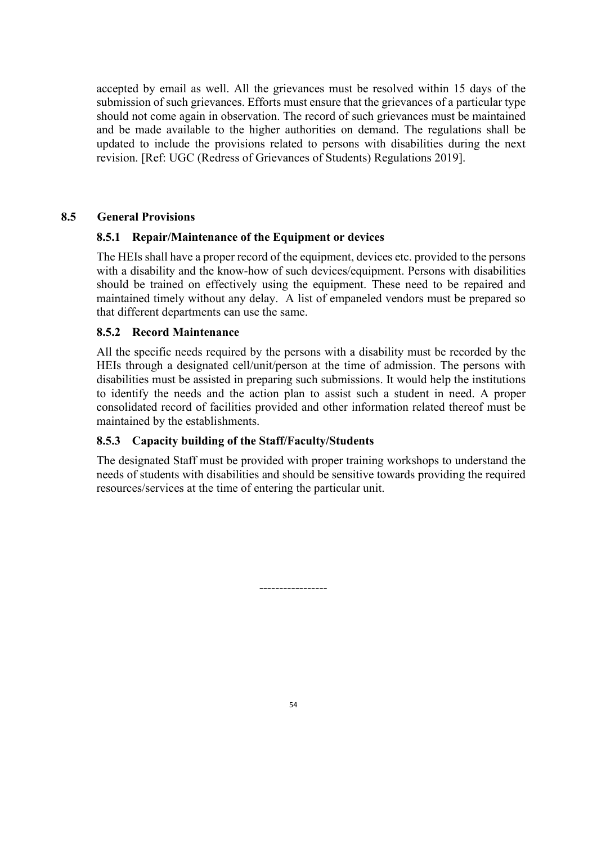accepted by email as well. All the grievances must be resolved within 15 days of the submission of such grievances. Efforts must ensure that the grievances of a particular type should not come again in observation. The record of such grievances must be maintained and be made available to the higher authorities on demand. The regulations shall be updated to include the provisions related to persons with disabilities during the next revision. [Ref: UGC (Redress of Grievances of Students) Regulations 2019].

### **8.5 General Provisions**

### **8.5.1 Repair/Maintenance of the Equipment or devices**

The HEIs shall have a proper record of the equipment, devices etc. provided to the persons with a disability and the know-how of such devices/equipment. Persons with disabilities should be trained on effectively using the equipment. These need to be repaired and maintained timely without any delay. A list of empaneled vendors must be prepared so that different departments can use the same.

### **8.5.2 Record Maintenance**

All the specific needs required by the persons with a disability must be recorded by the HEIs through a designated cell/unit/person at the time of admission. The persons with disabilities must be assisted in preparing such submissions. It would help the institutions to identify the needs and the action plan to assist such a student in need. A proper consolidated record of facilities provided and other information related thereof must be maintained by the establishments.

## **8.5.3 Capacity building of the Staff/Faculty/Students**

The designated Staff must be provided with proper training workshops to understand the needs of students with disabilities and should be sensitive towards providing the required resources/services at the time of entering the particular unit.

-----------------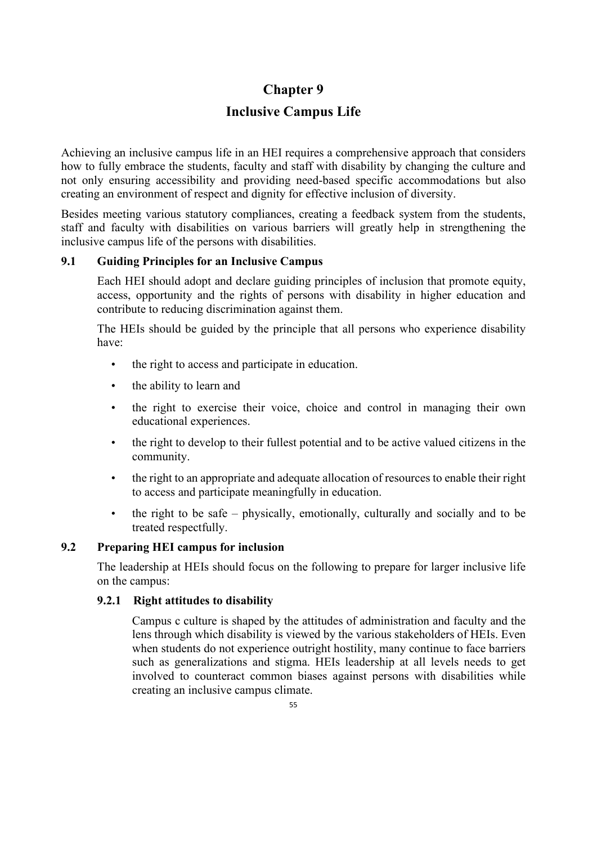# **Chapter 9**

# **Inclusive Campus Life**

Achieving an inclusive campus life in an HEI requires a comprehensive approach that considers how to fully embrace the students, faculty and staff with disability by changing the culture and not only ensuring accessibility and providing need-based specific accommodations but also creating an environment of respect and dignity for effective inclusion of diversity.

Besides meeting various statutory compliances, creating a feedback system from the students, staff and faculty with disabilities on various barriers will greatly help in strengthening the inclusive campus life of the persons with disabilities.

## **9.1 Guiding Principles for an Inclusive Campus**

Each HEI should adopt and declare guiding principles of inclusion that promote equity, access, opportunity and the rights of persons with disability in higher education and contribute to reducing discrimination against them.

The HEIs should be guided by the principle that all persons who experience disability have:

- the right to access and participate in education.
- the ability to learn and
- the right to exercise their voice, choice and control in managing their own educational experiences.
- the right to develop to their fullest potential and to be active valued citizens in the community.
- the right to an appropriate and adequate allocation of resources to enable their right to access and participate meaningfully in education.
- the right to be safe physically, emotionally, culturally and socially and to be treated respectfully.

### **9.2 Preparing HEI campus for inclusion**

The leadership at HEIs should focus on the following to prepare for larger inclusive life on the campus:

## **9.2.1 Right attitudes to disability**

Campus c culture is shaped by the attitudes of administration and faculty and the lens through which disability is viewed by the various stakeholders of HEIs. Even when students do not experience outright hostility, many continue to face barriers such as generalizations and stigma. HEIs leadership at all levels needs to get involved to counteract common biases against persons with disabilities while creating an inclusive campus climate.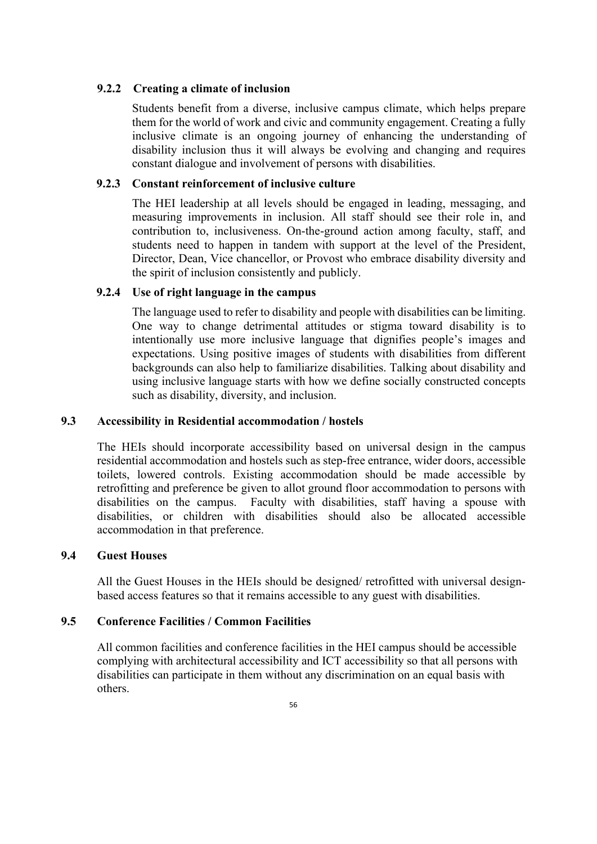### **9.2.2 Creating a climate of inclusion**

Students benefit from a diverse, inclusive campus climate, which helps prepare them for the world of work and civic and community engagement. Creating a fully inclusive climate is an ongoing journey of enhancing the understanding of disability inclusion thus it will always be evolving and changing and requires constant dialogue and involvement of persons with disabilities.

### **9.2.3 Constant reinforcement of inclusive culture**

The HEI leadership at all levels should be engaged in leading, messaging, and measuring improvements in inclusion. All staff should see their role in, and contribution to, inclusiveness. On-the-ground action among faculty, staff, and students need to happen in tandem with support at the level of the President, Director, Dean, Vice chancellor, or Provost who embrace disability diversity and the spirit of inclusion consistently and publicly.

### **9.2.4 Use of right language in the campus**

The language used to refer to disability and people with disabilities can be limiting. One way to change detrimental attitudes or stigma toward disability is to intentionally use more inclusive language that dignifies people's images and expectations. Using positive images of students with disabilities from different backgrounds can also help to familiarize disabilities. Talking about disability and using inclusive language starts with how we define socially constructed concepts such as disability, diversity, and inclusion.

### **9.3 Accessibility in Residential accommodation / hostels**

The HEIs should incorporate accessibility based on universal design in the campus residential accommodation and hostels such as step-free entrance, wider doors, accessible toilets, lowered controls. Existing accommodation should be made accessible by retrofitting and preference be given to allot ground floor accommodation to persons with disabilities on the campus. Faculty with disabilities, staff having a spouse with disabilities, or children with disabilities should also be allocated accessible accommodation in that preference.

### **9.4 Guest Houses**

All the Guest Houses in the HEIs should be designed/ retrofitted with universal designbased access features so that it remains accessible to any guest with disabilities.

### **9.5 Conference Facilities / Common Facilities**

All common facilities and conference facilities in the HEI campus should be accessible complying with architectural accessibility and ICT accessibility so that all persons with disabilities can participate in them without any discrimination on an equal basis with others.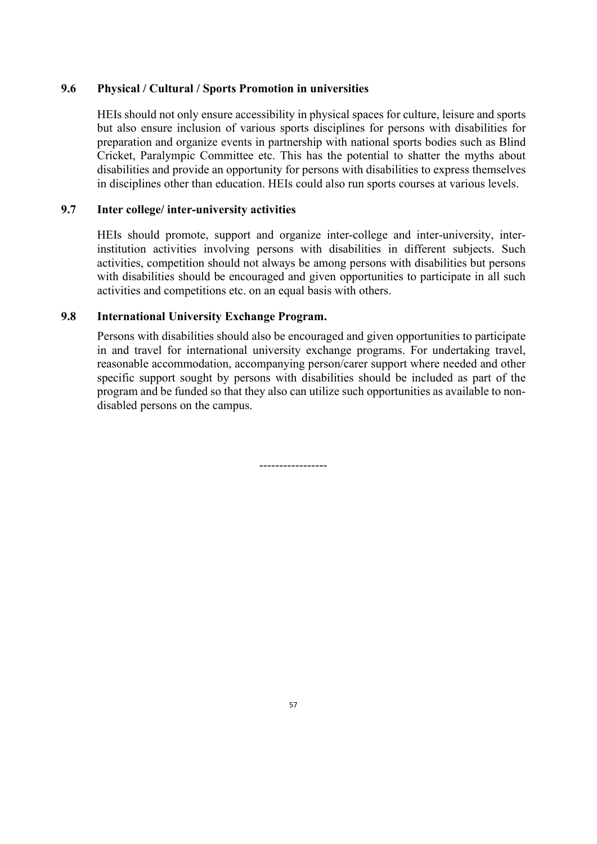### **9.6 Physical / Cultural / Sports Promotion in universities**

HEIs should not only ensure accessibility in physical spaces for culture, leisure and sports but also ensure inclusion of various sports disciplines for persons with disabilities for preparation and organize events in partnership with national sports bodies such as Blind Cricket, Paralympic Committee etc. This has the potential to shatter the myths about disabilities and provide an opportunity for persons with disabilities to express themselves in disciplines other than education. HEIs could also run sports courses at various levels.

### **9.7 Inter college/ inter-university activities**

HEIs should promote, support and organize inter-college and inter-university, interinstitution activities involving persons with disabilities in different subjects. Such activities, competition should not always be among persons with disabilities but persons with disabilities should be encouraged and given opportunities to participate in all such activities and competitions etc. on an equal basis with others.

### **9.8 International University Exchange Program.**

Persons with disabilities should also be encouraged and given opportunities to participate in and travel for international university exchange programs. For undertaking travel, reasonable accommodation, accompanying person/carer support where needed and other specific support sought by persons with disabilities should be included as part of the program and be funded so that they also can utilize such opportunities as available to nondisabled persons on the campus.

-----------------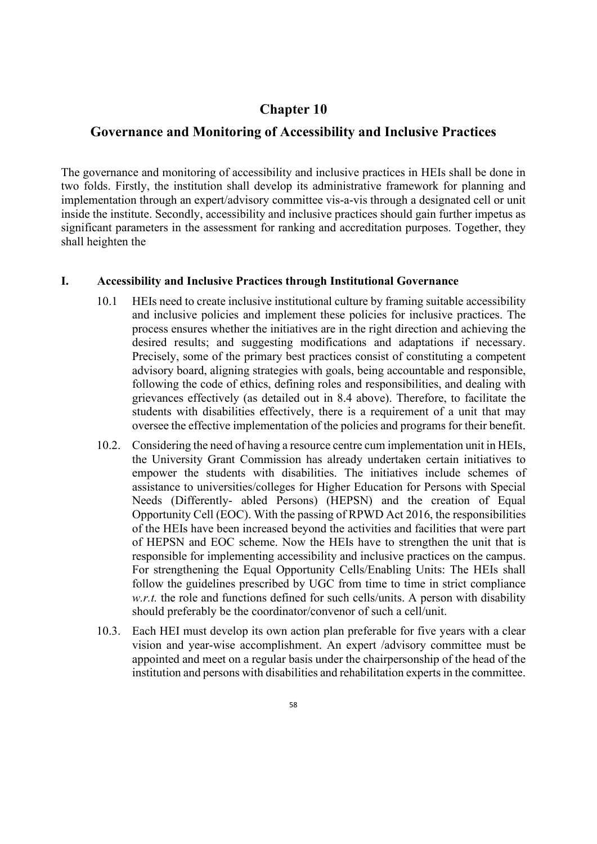## **Chapter 10**

## **Governance and Monitoring of Accessibility and Inclusive Practices**

The governance and monitoring of accessibility and inclusive practices in HEIs shall be done in two folds. Firstly, the institution shall develop its administrative framework for planning and implementation through an expert/advisory committee vis-a-vis through a designated cell or unit inside the institute. Secondly, accessibility and inclusive practices should gain further impetus as significant parameters in the assessment for ranking and accreditation purposes. Together, they shall heighten the

### **I. Accessibility and Inclusive Practices through Institutional Governance**

- 10.1 HEIs need to create inclusive institutional culture by framing suitable accessibility and inclusive policies and implement these policies for inclusive practices. The process ensures whether the initiatives are in the right direction and achieving the desired results; and suggesting modifications and adaptations if necessary. Precisely, some of the primary best practices consist of constituting a competent advisory board, aligning strategies with goals, being accountable and responsible, following the code of ethics, defining roles and responsibilities, and dealing with grievances effectively (as detailed out in 8.4 above). Therefore, to facilitate the students with disabilities effectively, there is a requirement of a unit that may oversee the effective implementation of the policies and programs for their benefit.
- 10.2. Considering the need of having a resource centre cum implementation unit in HEIs, the University Grant Commission has already undertaken certain initiatives to empower the students with disabilities. The initiatives include schemes of assistance to universities/colleges for Higher Education for Persons with Special Needs (Differently- abled Persons) (HEPSN) and the creation of Equal Opportunity Cell (EOC). With the passing of RPWD Act 2016, the responsibilities of the HEIs have been increased beyond the activities and facilities that were part of HEPSN and EOC scheme. Now the HEIs have to strengthen the unit that is responsible for implementing accessibility and inclusive practices on the campus. For strengthening the Equal Opportunity Cells/Enabling Units: The HEIs shall follow the guidelines prescribed by UGC from time to time in strict compliance *w.r.t.* the role and functions defined for such cells/units. A person with disability should preferably be the coordinator/convenor of such a cell/unit.
- 10.3. Each HEI must develop its own action plan preferable for five years with a clear vision and year-wise accomplishment. An expert /advisory committee must be appointed and meet on a regular basis under the chairpersonship of the head of the institution and persons with disabilities and rehabilitation experts in the committee.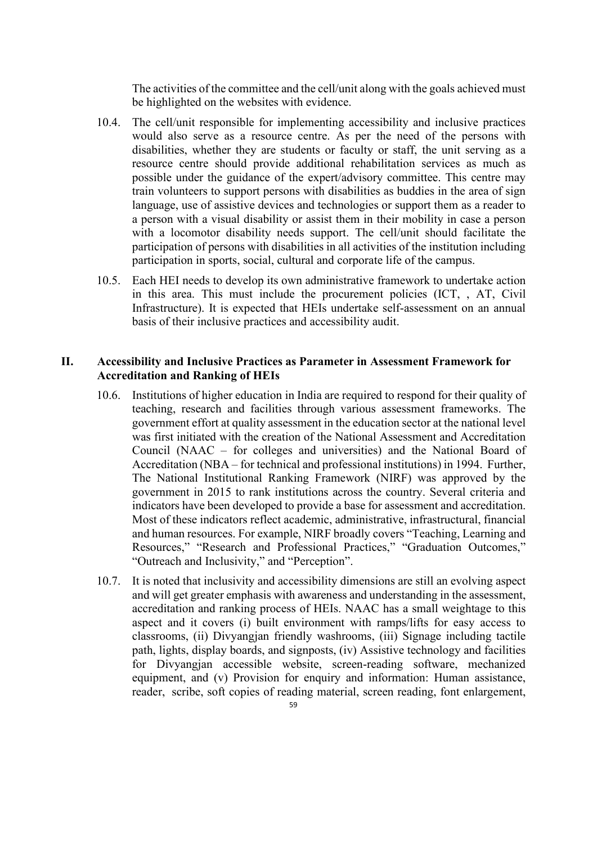The activities of the committee and the cell/unit along with the goals achieved must be highlighted on the websites with evidence.

- 10.4. The cell/unit responsible for implementing accessibility and inclusive practices would also serve as a resource centre. As per the need of the persons with disabilities, whether they are students or faculty or staff, the unit serving as a resource centre should provide additional rehabilitation services as much as possible under the guidance of the expert/advisory committee. This centre may train volunteers to support persons with disabilities as buddies in the area of sign language, use of assistive devices and technologies or support them as a reader to a person with a visual disability or assist them in their mobility in case a person with a locomotor disability needs support. The cell/unit should facilitate the participation of persons with disabilities in all activities of the institution including participation in sports, social, cultural and corporate life of the campus.
- 10.5. Each HEI needs to develop its own administrative framework to undertake action in this area. This must include the procurement policies (ICT, , AT, Civil Infrastructure). It is expected that HEIs undertake self-assessment on an annual basis of their inclusive practices and accessibility audit.

### **II. Accessibility and Inclusive Practices as Parameter in Assessment Framework for Accreditation and Ranking of HEIs**

- 10.6. Institutions of higher education in India are required to respond for their quality of teaching, research and facilities through various assessment frameworks. The government effort at quality assessment in the education sector at the national level was first initiated with the creation of the National Assessment and Accreditation Council (NAAC – for colleges and universities) and the National Board of Accreditation (NBA – for technical and professional institutions) in 1994. Further, The National Institutional Ranking Framework (NIRF) was approved by the government in 2015 to rank institutions across the country. Several criteria and indicators have been developed to provide a base for assessment and accreditation. Most of these indicators reflect academic, administrative, infrastructural, financial and human resources. For example, NIRF broadly covers "Teaching, Learning and Resources," "Research and Professional Practices," "Graduation Outcomes," "Outreach and Inclusivity," and "Perception".
- 10.7. It is noted that inclusivity and accessibility dimensions are still an evolving aspect and will get greater emphasis with awareness and understanding in the assessment, accreditation and ranking process of HEIs. NAAC has a small weightage to this aspect and it covers (i) built environment with ramps/lifts for easy access to classrooms, (ii) Divyangjan friendly washrooms, (iii) Signage including tactile path, lights, display boards, and signposts, (iv) Assistive technology and facilities for Divyangjan accessible website, screen-reading software, mechanized equipment, and (v) Provision for enquiry and information: Human assistance, reader, scribe, soft copies of reading material, screen reading, font enlargement,